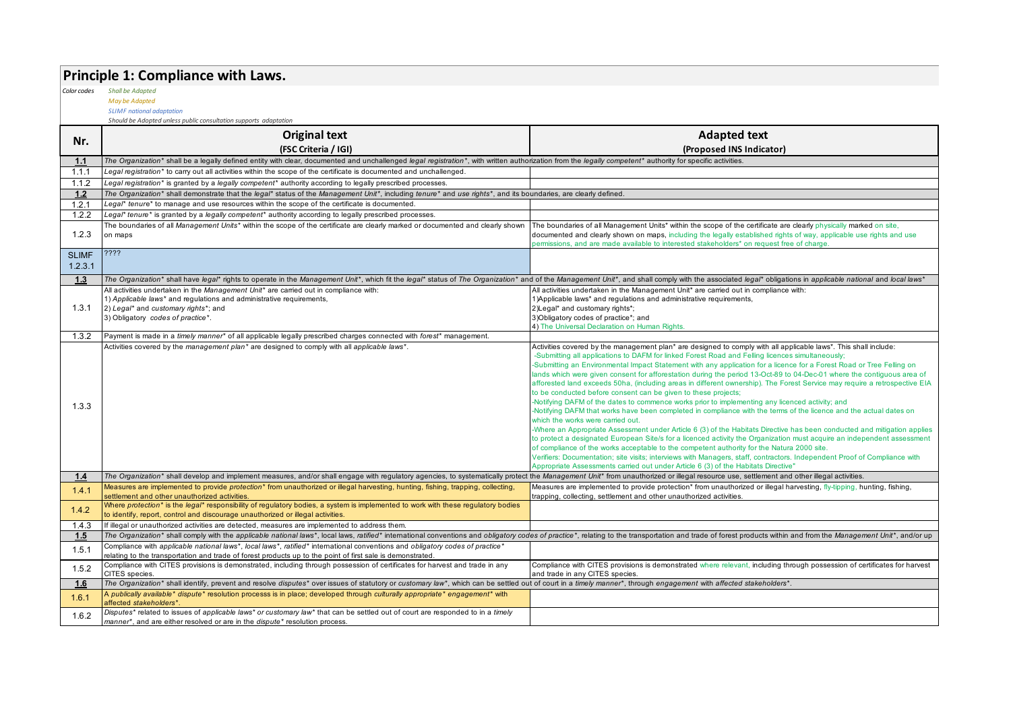### **Principle 1: Compliance with Laws.**

*Color codes Shall be Adapted*

*May be Adapted*

*SLIMF national adaptation Should be Adopted unless public consultation supports adaptation*

|              | <b>Original text</b>                                                                                                                                                                                                                        | <b>Adapted text</b>                                                                                                                                                                                                                                                                                                                           |
|--------------|---------------------------------------------------------------------------------------------------------------------------------------------------------------------------------------------------------------------------------------------|-----------------------------------------------------------------------------------------------------------------------------------------------------------------------------------------------------------------------------------------------------------------------------------------------------------------------------------------------|
| Nr.          | (FSC Criteria / IGI)                                                                                                                                                                                                                        | (Proposed INS Indicator)                                                                                                                                                                                                                                                                                                                      |
| 1.1          | The Organization* shall be a legally defined entity with clear, documented and unchallenged legal registration*, with written authorization from the legally competent* authority for specific activities.                                  |                                                                                                                                                                                                                                                                                                                                               |
| 1.1.1        | Legal registration* to carry out all activities within the scope of the certificate is documented and unchallenged.                                                                                                                         |                                                                                                                                                                                                                                                                                                                                               |
| 1.1.2        | Legal registration* is granted by a legally competent* authority according to legally prescribed processes.                                                                                                                                 |                                                                                                                                                                                                                                                                                                                                               |
| $1.2$        | The Organization* shall demonstrate that the legal* status of the Management Unit*, including tenure* and use rights*, and its boundaries, are clearly defined.                                                                             |                                                                                                                                                                                                                                                                                                                                               |
| 1.2.1        | Legal* tenure* to manage and use resources within the scope of the certificate is documented.                                                                                                                                               |                                                                                                                                                                                                                                                                                                                                               |
| 1.2.2        | Legal* tenure* is granted by a legally competent* authority according to legally prescribed processes.                                                                                                                                      |                                                                                                                                                                                                                                                                                                                                               |
| 1.2.3        | The boundaries of all Management Units* within the scope of the certificate are clearly marked or documented and clearly shown<br>on maps                                                                                                   | The boundaries of all Management Units* within the scope of the certificate are clearly physically marked on site,<br>documented and clearly shown on maps, including the legally established rights of way, applicable use rights and use<br>permissions, and are made available to interested stakeholders* on request free of charge.      |
| <b>SLIMF</b> | ????                                                                                                                                                                                                                                        |                                                                                                                                                                                                                                                                                                                                               |
| 1.2.3.1      |                                                                                                                                                                                                                                             |                                                                                                                                                                                                                                                                                                                                               |
| 1.3          | The Organization* shall have legal* rights to operate in the Management Unit*, which fit the legal* status of The Organization* and of the Management Unit*, and shall comply with the associated legal* obligations in applic              |                                                                                                                                                                                                                                                                                                                                               |
|              | All activities undertaken in the Management Unit* are carried out in compliance with:                                                                                                                                                       | All activities undertaken in the Management Unit* are carried out in compliance with:                                                                                                                                                                                                                                                         |
|              | 1) Applicable laws* and regulations and administrative requirements,                                                                                                                                                                        | 1) Applicable laws* and regulations and administrative requirements,                                                                                                                                                                                                                                                                          |
| 1.3.1        | 2) Legal* and customary rights*; and                                                                                                                                                                                                        | 2)Legal* and customary rights*;                                                                                                                                                                                                                                                                                                               |
|              | 3) Obligatory codes of practice*.                                                                                                                                                                                                           | 3) Obligatory codes of practice*; and                                                                                                                                                                                                                                                                                                         |
|              |                                                                                                                                                                                                                                             | 4) The Universal Declaration on Human Rights.                                                                                                                                                                                                                                                                                                 |
| 1.3.2        | Payment is made in a timely manner* of all applicable legally prescribed charges connected with forest* management.                                                                                                                         |                                                                                                                                                                                                                                                                                                                                               |
|              | Activities covered by the management plan* are designed to comply with all applicable laws*.                                                                                                                                                | Activities covered by the management plan* are designed to comply with all applicable laws*. This shall include:<br>-Submitting all applications to DAFM for linked Forest Road and Felling licences simultaneously;<br>-Submitting an Environmental Impact Statement with any application for a licence for a Forest Road or Tree Felling on |
|              |                                                                                                                                                                                                                                             | lands which were given consent for afforestation during the period 13-Oct-89 to 04-Dec-01 where the contiguous area of<br>afforested land exceeds 50ha, (including areas in different ownership). The Forest Service may require a retrospective EIA                                                                                          |
|              |                                                                                                                                                                                                                                             | to be conducted before consent can be given to these projects;                                                                                                                                                                                                                                                                                |
| 1.3.3        |                                                                                                                                                                                                                                             | -Notifying DAFM of the dates to commence works prior to implementing any licenced activity; and<br>-Notifying DAFM that works have been completed in compliance with the terms of the licence and the actual dates on                                                                                                                         |
|              |                                                                                                                                                                                                                                             | which the works were carried out.<br>-Where an Appropriate Assessment under Article 6 (3) of the Habitats Directive has been conducted and mitigation applies                                                                                                                                                                                 |
|              |                                                                                                                                                                                                                                             | to protect a designated European Site/s for a licenced activity the Organization must acquire an independent assessment                                                                                                                                                                                                                       |
|              |                                                                                                                                                                                                                                             | of compliance of the works acceptable to the competent authority for the Natura 2000 site.                                                                                                                                                                                                                                                    |
|              |                                                                                                                                                                                                                                             | Verifiers: Documentation; site visits; interviews with Managers, staff, contractors. Independent Proof of Compliance with                                                                                                                                                                                                                     |
|              |                                                                                                                                                                                                                                             | Appropriate Assessments carried out under Article 6 (3) of the Habitats Directive"                                                                                                                                                                                                                                                            |
| 1.4          | The Organization* shall develop and implement measures, and/or shall engage with requlatory agencies, to systematically protect the Management Unit* from unauthorized or illegal resource use, settlement and other illegal a              |                                                                                                                                                                                                                                                                                                                                               |
| 1.4.1        | Measures are implemented to provide protection* from unauthorized or illegal harvesting, hunting, fishing, trapping, collecting,<br>settlement and other unauthorized activities.                                                           | Measures are implemented to provide protection* from unauthorized or illegal harvesting, fly-tipping, hunting, fishing,<br>trapping, collecting, settlement and other unauthorized activities.                                                                                                                                                |
| 1.4.2        | Where protection* is the legal* responsibility of regulatory bodies, a system is implemented to work with these regulatory bodies<br>to identify, report, control and discourage unauthorized or illegal activities.                        |                                                                                                                                                                                                                                                                                                                                               |
| 1.4.3        | If illegal or unauthorized activities are detected, measures are implemented to address them.                                                                                                                                               |                                                                                                                                                                                                                                                                                                                                               |
| 1.5          | The Organization* shall comply with the applicable national laws*, local laws, ratified* international conventions and obligatory codes of practice*, relating to the transportation and trade of forest products within and f              |                                                                                                                                                                                                                                                                                                                                               |
| 1.5.1        | Compliance with applicable national laws*, local laws*, ratified* international conventions and obligatory codes of practice*<br>relating to the transportation and trade of forest products up to the point of first sale is demonstrated. |                                                                                                                                                                                                                                                                                                                                               |
| 1.5.2        | Compliance with CITES provisions is demonstrated, including through possession of certificates for harvest and trade in any<br>CITES species.                                                                                               | Compliance with CITES provisions is demonstrated where relevant, including through possession of certificates for harvest<br>and trade in any CITES species.                                                                                                                                                                                  |
| 1.6          | The Organization* shall identify, prevent and resolve disputes* over issues of statutory or customary law*, which can be settled out of court in a timely manner*, through engagement with affected stakeholders*.                          |                                                                                                                                                                                                                                                                                                                                               |
| 1.6.1        | A publically available* dispute* resolution processs is in place; developed through culturally appropriate* engagement* with<br>affected stakeholders*.                                                                                     |                                                                                                                                                                                                                                                                                                                                               |
| 1.6.2        | Disputes* related to issues of applicable laws* or customary law* that can be settled out of court are responded to in a timely<br>manner*, and are either resolved or are in the dispute* resolution process.                              |                                                                                                                                                                                                                                                                                                                                               |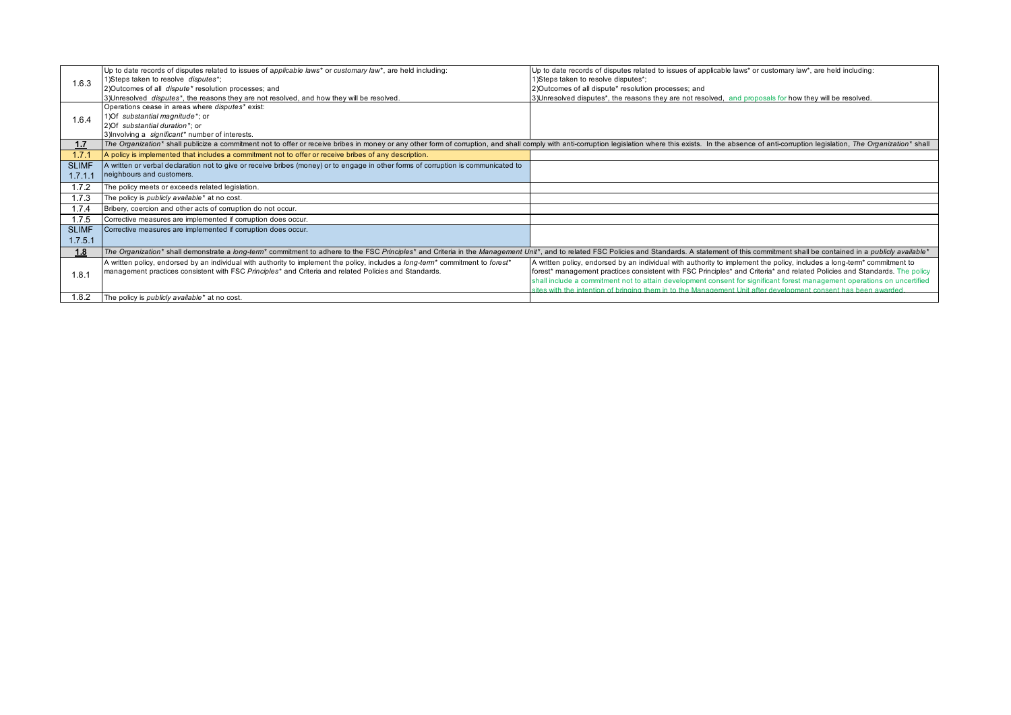|              | Up to date records of disputes related to issues of applicable laws* or customary law*, are held including:                                                                                                                    | Up to date records of disputes related to issues of applicable laws* or customary law*, are held including:                         |
|--------------|--------------------------------------------------------------------------------------------------------------------------------------------------------------------------------------------------------------------------------|-------------------------------------------------------------------------------------------------------------------------------------|
| 1.6.3        | 1) Steps taken to resolve disputes*;                                                                                                                                                                                           | 1) Steps taken to resolve disputes*;                                                                                                |
|              | 2)Outcomes of all dispute* resolution processes; and                                                                                                                                                                           | 2)Outcomes of all dispute* resolution processes; and                                                                                |
|              | 3) Unresolved disputes*, the reasons they are not resolved, and how they will be resolved.                                                                                                                                     | 3) Unresolved disputes*, the reasons they are not resolved, and proposals for how they will be resolved.                            |
|              | Operations cease in areas where <i>disputes</i> * exist:                                                                                                                                                                       |                                                                                                                                     |
| 1.6.4        | 1) Of substantial magnitude*; or                                                                                                                                                                                               |                                                                                                                                     |
|              | 2) Of substantial duration*; or                                                                                                                                                                                                |                                                                                                                                     |
|              | 3) Involving a significant* number of interests.                                                                                                                                                                               |                                                                                                                                     |
| 1.7          | The Organization* shall publicize a commitment not to offer or receive bribes in money or any other form of corruption, and shall comply with anti-corruption legislation where this exists. In the absence of anti-corruption |                                                                                                                                     |
| 1.7.7        | A policy is implemented that includes a commitment not to offer or receive bribes of any description.                                                                                                                          |                                                                                                                                     |
| <b>SLIMF</b> | A written or verbal declaration not to give or receive bribes (money) or to engage in other forms of corruption is communicated to                                                                                             |                                                                                                                                     |
| 1.7.1.1      | neighbours and customers.                                                                                                                                                                                                      |                                                                                                                                     |
| 1.7.2        | The policy meets or exceeds related legislation.                                                                                                                                                                               |                                                                                                                                     |
| 1.7.3        | The policy is publicly available* at no cost.                                                                                                                                                                                  |                                                                                                                                     |
| 1.7.4        | Bribery, coercion and other acts of corruption do not occur.                                                                                                                                                                   |                                                                                                                                     |
| 1.7.5        | Corrective measures are implemented if corruption does occur.                                                                                                                                                                  |                                                                                                                                     |
| <b>SLIMF</b> | Corrective measures are implemented if corruption does occur.                                                                                                                                                                  |                                                                                                                                     |
| 1.7.5.1      |                                                                                                                                                                                                                                |                                                                                                                                     |
| 1.8          | The Organization* shall demonstrate a long-term* commitment to adhere to the FSC Principles* and Criteria in the Management Unit*, and to related FSC Policies and Standards. A statement of this commitment shall be containe |                                                                                                                                     |
|              | A written policy, endorsed by an individual with authority to implement the policy, includes a long-term <sup>*</sup> commitment to forest <sup>*</sup>                                                                        | A written policy, endorsed by an individual with authority to implement the policy, includes a long-term <sup>*</sup> commitment to |
| 1.8.7        | management practices consistent with FSC Principles* and Criteria and related Policies and Standards.                                                                                                                          | forest* management practices consistent with FSC Principles* and Criteria* and related Policies and Standards. The policy           |
|              |                                                                                                                                                                                                                                | shall include a commitment not to attain development consent for significant forest management operations on uncertified            |
|              |                                                                                                                                                                                                                                | sites with the intention of bringing them in to the Management Unit after development consent has been awarded.                     |
| 1.8.2        | The policy is <i>publicly</i> available <sup>*</sup> at no cost.                                                                                                                                                               |                                                                                                                                     |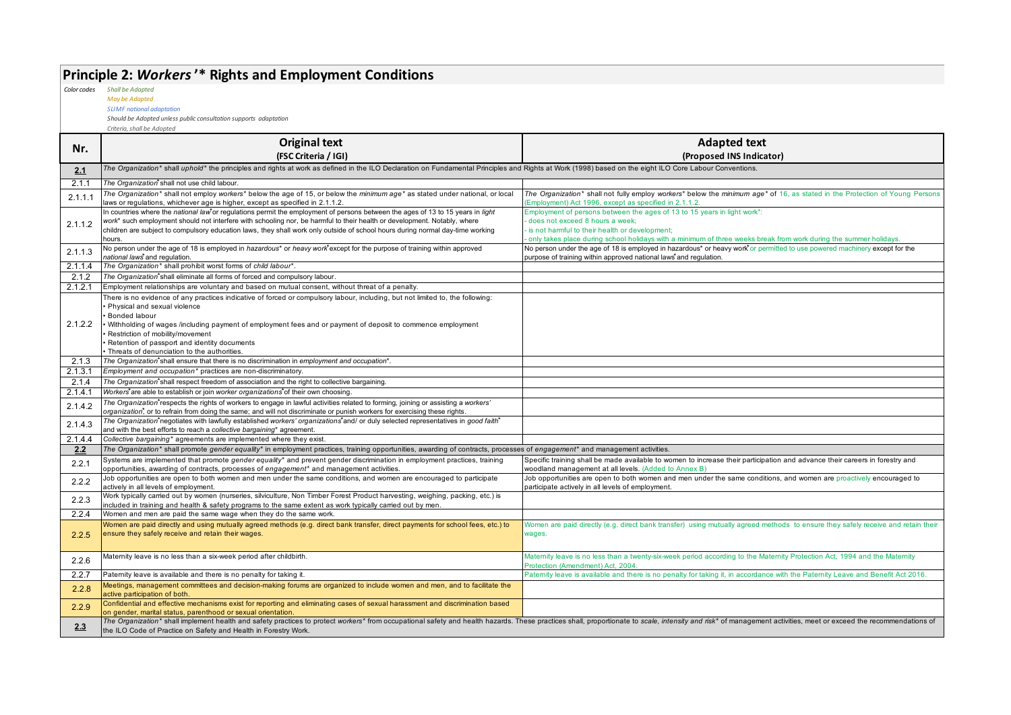# **Principle 2:** *Workers***'\* Rights and Employment Conditions**

*Color codes Shall be Adapted*

*May be Adapted SLIMF national adaptation*

*Should be Adopted unless public consultation supports adaptation*

|               | <b>Original text</b>                                                                                                                                                                                                                                                                                                                                                                                                                | <b>Adapted text</b>                                                                                                                                                                                                                                                                |
|---------------|-------------------------------------------------------------------------------------------------------------------------------------------------------------------------------------------------------------------------------------------------------------------------------------------------------------------------------------------------------------------------------------------------------------------------------------|------------------------------------------------------------------------------------------------------------------------------------------------------------------------------------------------------------------------------------------------------------------------------------|
| Nr.           | (FSC Criteria / IGI)                                                                                                                                                                                                                                                                                                                                                                                                                | (Proposed INS Indicator)                                                                                                                                                                                                                                                           |
| 2.1           | The Organization* shall uphold* the principles and rights at work as defined in the ILO Declaration on Fundamental Principles and Rights at Work (1998) based on the eight ILO Core Labour Conventions.                                                                                                                                                                                                                             |                                                                                                                                                                                                                                                                                    |
| 2.1.1         | The Organization <sup>®</sup> shall not use child labour.                                                                                                                                                                                                                                                                                                                                                                           |                                                                                                                                                                                                                                                                                    |
| 2.1.1.1       | The Organization* shall not employ workers* below the age of 15, or below the minimum age* as stated under national, or local<br>laws or regulations, whichever age is higher, except as specified in 2.1.1.2.                                                                                                                                                                                                                      | The Organization* shall not fully employ workers* below the minimum age* of 16, as stated in the Protection of Young Persons<br>Employment) Act 1996, except as specified in 2.1.1.2.                                                                                              |
| 2.1.1.2       | In countries where the national law <sup>*</sup> or regulations permit the employment of persons between the ages of 13 to 15 years in light<br>work* such employment should not interfere with schooling nor, be harmful to their health or development. Notably, where<br>children are subject to compulsory education laws, they shall work only outside of school hours during normal day-time working<br>hours.                | Employment of persons between the ages of 13 to 15 years in light work*:<br>does not exceed 8 hours a week;<br>is not harmful to their health or development;<br>only takes place during school holidays with a minimum of three weeks break from work during the summer holidays. |
| 2.1.1.3       | No person under the age of 18 is employed in hazardous <sup>*</sup> or heavy work <sup>*</sup> except for the purpose of training within approved<br>national laws and regulation.                                                                                                                                                                                                                                                  | No person under the age of 18 is employed in hazardous* or heavy work or permitted to use powered machinery except for the<br>purpose of training within approved national laws <sup>*</sup> and regulation.                                                                       |
| 2.1.1.4       | The Organization* shall prohibit worst forms of child labour*.                                                                                                                                                                                                                                                                                                                                                                      |                                                                                                                                                                                                                                                                                    |
| 2.1.2         | The Organization*shall eliminate all forms of forced and compulsory labour.                                                                                                                                                                                                                                                                                                                                                         |                                                                                                                                                                                                                                                                                    |
| 2.1.2.1       | Employment relationships are voluntary and based on mutual consent, without threat of a penalty.                                                                                                                                                                                                                                                                                                                                    |                                                                                                                                                                                                                                                                                    |
| 2.1.2.2       | There is no evidence of any practices indicative of forced or compulsory labour, including, but not limited to, the following:<br>Physical and sexual violence<br>Bonded labour<br>Withholding of wages /including payment of employment fees and or payment of deposit to commence employment<br>Restriction of mobility/movement<br>Retention of passport and identity documents<br>· Threats of denunciation to the authorities. |                                                                                                                                                                                                                                                                                    |
| 2.1.3         | The Organization*shall ensure that there is no discrimination in employment and occupation*.                                                                                                                                                                                                                                                                                                                                        |                                                                                                                                                                                                                                                                                    |
| 2.1.3.1       | Employment and occupation* practices are non-discriminatory.                                                                                                                                                                                                                                                                                                                                                                        |                                                                                                                                                                                                                                                                                    |
| 2.1.4         | The Organization*shall respect freedom of association and the right to collective bargaining.                                                                                                                                                                                                                                                                                                                                       |                                                                                                                                                                                                                                                                                    |
| 2.1.4.1       | Workers*are able to establish or join worker organizations*of their own choosing.                                                                                                                                                                                                                                                                                                                                                   |                                                                                                                                                                                                                                                                                    |
| 2.1.4.2       | The Organization*respects the rights of workers to engage in lawful activities related to forming, joining or assisting a workers'<br>organization, or to refrain from doing the same; and will not discriminate or punish workers for exercising these rights.                                                                                                                                                                     |                                                                                                                                                                                                                                                                                    |
| 2.1.4.3       | The Organization*negotiates with lawfully established workers' organizations*and/ or duly selected representatives in good faith*<br>and with the best efforts to reach a collective bargaining* agreement.                                                                                                                                                                                                                         |                                                                                                                                                                                                                                                                                    |
| 2.1.4.4       | Collective bargaining* agreements are implemented where they exist.                                                                                                                                                                                                                                                                                                                                                                 |                                                                                                                                                                                                                                                                                    |
| $2.2^{\circ}$ | The Organization* shall promote gender equality* in employment practices, training opportunities, awarding of contracts, processes of engagement* and management activities.                                                                                                                                                                                                                                                        |                                                                                                                                                                                                                                                                                    |
| 2.2.1         | Systems are implemented that promote gender equality* and prevent gender discrimination in employment practices, training<br>opportunities, awarding of contracts, processes of engagement* and management activities.                                                                                                                                                                                                              | Specific training shall be made available to women to increase their participation and advance their careers in forestry and<br>woodland management at all levels. (Added to Annex B)                                                                                              |
| 2.2.2         | Job opportunities are open to both women and men under the same conditions, and women are encouraged to participate<br>actively in all levels of employment.                                                                                                                                                                                                                                                                        | Job opportunities are open to both women and men under the same conditions, and women are proactively encouraged to<br>participate actively in all levels of employment.                                                                                                           |
| 2.2.3         | Work typically carried out by women (nurseries, silviculture, Non Timber Forest Product harvesting, weighing, packing, etc.) is<br>included in training and health & safety programs to the same extent as work typically carried out by men.                                                                                                                                                                                       |                                                                                                                                                                                                                                                                                    |
| 2.2.4         | Women and men are paid the same wage when they do the same work.                                                                                                                                                                                                                                                                                                                                                                    |                                                                                                                                                                                                                                                                                    |
| 2.2.5         | Women are paid directly and using mutually agreed methods (e.g. direct bank transfer, direct payments for school fees, etc.) to<br>ensure they safely receive and retain their wages.                                                                                                                                                                                                                                               | Women are paid directly (e.g. direct bank transfer) using mutually agreed methods to ensure they safely receive and retain their<br>wages.                                                                                                                                         |
| 2.2.6         | Maternity leave is no less than a six-week period after childbirth.                                                                                                                                                                                                                                                                                                                                                                 | Maternity leave is no less than a twenty-six-week period according to the Maternity Protection Act, 1994 and the Maternity<br>Protection (Amendment) Act, 2004.                                                                                                                    |
| 2.2.7         | Paternity leave is available and there is no penalty for taking it.                                                                                                                                                                                                                                                                                                                                                                 | Paternity leave is available and there is no penalty for taking it, in accordance with the Paternity Leave and Benefit Act 2016.                                                                                                                                                   |
| 2.2.8         | Meetings, management committees and decision-making forums are organized to include women and men, and to facilitate the<br>active participation of both.                                                                                                                                                                                                                                                                           |                                                                                                                                                                                                                                                                                    |
| 2.2.9         | Confidential and effective mechanisms exist for reporting and eliminating cases of sexual harassment and discrimination based<br>on gender, marital status, parenthood or sexual orientation.                                                                                                                                                                                                                                       |                                                                                                                                                                                                                                                                                    |
| 2.3           | the ILO Code of Practice on Safety and Health in Forestry Work.                                                                                                                                                                                                                                                                                                                                                                     | The Organization* shall implement health and safety practices to protect workers* from occupational safety and health hazards. These practices shall, proportionate to scale, intensity and risk* of management activities, me                                                     |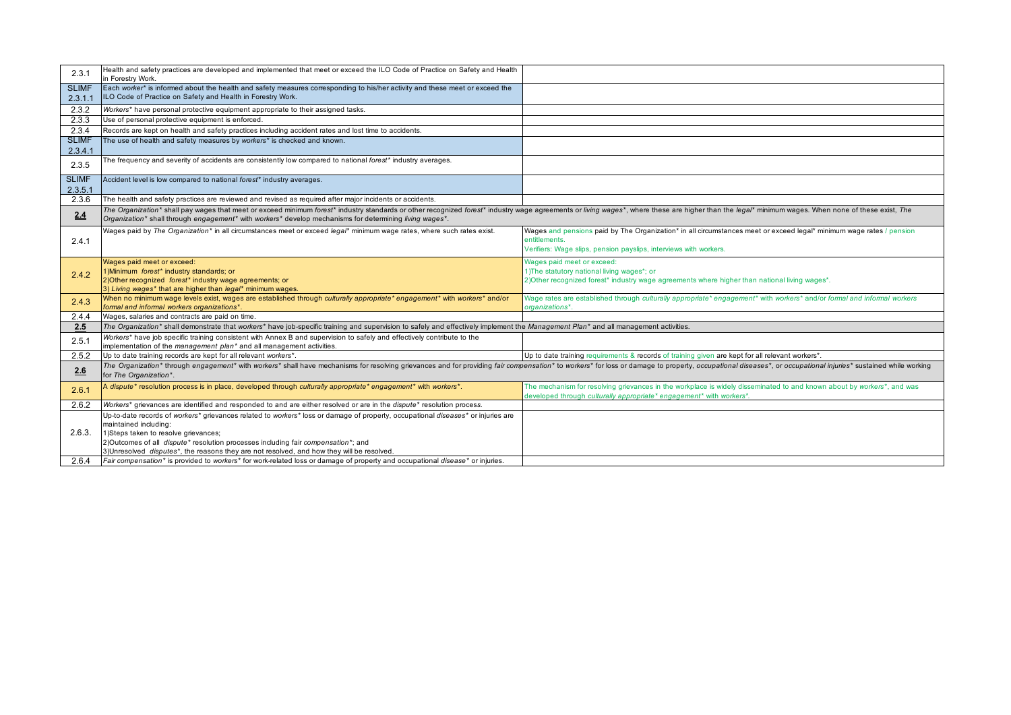| 2.3.1                   | Health and safety practices are developed and implemented that meet or exceed the ILO Code of Practice on Safety and Health<br>in Forestry Work.                                                                                                                                                                                          |                                                                                                                         |
|-------------------------|-------------------------------------------------------------------------------------------------------------------------------------------------------------------------------------------------------------------------------------------------------------------------------------------------------------------------------------------|-------------------------------------------------------------------------------------------------------------------------|
| <b>SLIMF</b><br>2.3.1.1 | Each worker* is informed about the health and safety measures corresponding to his/her activity and these meet or exceed the<br>ILO Code of Practice on Safety and Health in Forestry Work.                                                                                                                                               |                                                                                                                         |
| 2.3.2                   | Workers* have personal protective equipment appropriate to their assigned tasks.                                                                                                                                                                                                                                                          |                                                                                                                         |
| 2.3.3                   | Use of personal protective equipment is enforced.                                                                                                                                                                                                                                                                                         |                                                                                                                         |
| 2.3.4                   | Records are kept on health and safety practices including accident rates and lost time to accidents.                                                                                                                                                                                                                                      |                                                                                                                         |
| <b>SLIMF</b>            | The use of health and safety measures by workers* is checked and known.                                                                                                                                                                                                                                                                   |                                                                                                                         |
| 2.3.4.1                 |                                                                                                                                                                                                                                                                                                                                           |                                                                                                                         |
| 2.3.5                   | The frequency and severity of accidents are consistently low compared to national forest* industry averages.                                                                                                                                                                                                                              |                                                                                                                         |
| <b>SLIMF</b>            | Accident level is low compared to national forest* industry averages.                                                                                                                                                                                                                                                                     |                                                                                                                         |
| 2.3.5.1                 |                                                                                                                                                                                                                                                                                                                                           |                                                                                                                         |
| 2.3.6                   | The health and safety practices are reviewed and revised as required after major incidents or accidents.                                                                                                                                                                                                                                  |                                                                                                                         |
| 2.4                     | The Organization* shall pay wages that meet or exceed minimum forest* industry standards or other recognized forest* industry wage agreements or living wages*, where these are higher than the legal* minimum wages. When non<br>Organization* shall through engagement* with workers* develop mechanisms for determining living wages*. |                                                                                                                         |
|                         | Wages paid by The Organization* in all circumstances meet or exceed legal* minimum wage rates, where such rates exist.                                                                                                                                                                                                                    | Wages and pensions paid by The Organization* in all circumstances meet or exceed legal* minimum wage rates / pension    |
| 2.4.1                   |                                                                                                                                                                                                                                                                                                                                           | entitlements.                                                                                                           |
|                         |                                                                                                                                                                                                                                                                                                                                           | Verifiers: Wage slips, pension payslips, interviews with workers.                                                       |
|                         | Wages paid meet or exceed:                                                                                                                                                                                                                                                                                                                | Wages paid meet or exceed:                                                                                              |
| 2.4.2                   | 1) Minimum forest* industry standards; or                                                                                                                                                                                                                                                                                                 | 1) The statutory national living wages*; or                                                                             |
|                         | 2) Other recognized forest* industry wage agreements; or                                                                                                                                                                                                                                                                                  | 2) Other recognized forest* industry wage agreements where higher than national living wages*.                          |
|                         | 3) Living wages* that are higher than legal* minimum wages.                                                                                                                                                                                                                                                                               |                                                                                                                         |
| 2.4.3                   | When no minimum wage levels exist, wages are established through culturally appropriate* engagement* with workers* and/or<br>formal and informal workers organizations*.                                                                                                                                                                  | Wage rates are established through culturally appropriate* engagement* with workers* and/or formal and informal workers |
| 2.4.4                   | Wages, salaries and contracts are paid on time.                                                                                                                                                                                                                                                                                           | prganizations*.                                                                                                         |
| 2.5                     | The Organization* shall demonstrate that workers* have job-specific training and supervision to safely and effectively implement the Management Plan* and all management activities.                                                                                                                                                      |                                                                                                                         |
|                         | Workers* have job specific training consistent with Annex B and supervision to safely and effectively contribute to the                                                                                                                                                                                                                   |                                                                                                                         |
| 2.5.1                   | implementation of the management plan <sup>*</sup> and all management activities.                                                                                                                                                                                                                                                         |                                                                                                                         |
| 2.5.2                   | Up to date training records are kept for all relevant workers*.                                                                                                                                                                                                                                                                           | Up to date training requirements & records of training given are kept for all relevant workers*.                        |
|                         | The Organization* through engagement* with workers* shall have mechanisms for resolving grievances and for providing fair compensation* to workers* for loss or damage to property, occupational diseases*, or occupational in                                                                                                            |                                                                                                                         |
| 2.6                     | for The Organization*.                                                                                                                                                                                                                                                                                                                    |                                                                                                                         |
| 2.6.1                   | A dispute* resolution process is in place, developed through culturally appropriate* engagement* with workers*.                                                                                                                                                                                                                           | The mechanism for resolving grievances in the workplace is widely disseminated to and known about by workers*, and was  |
|                         |                                                                                                                                                                                                                                                                                                                                           | developed through culturally appropriate* engagement* with workers*.                                                    |
| 2.6.2                   | Workers* grievances are identified and responded to and are either resolved or are in the dispute* resolution process.                                                                                                                                                                                                                    |                                                                                                                         |
|                         | Up-to-date records of workers* grievances related to workers* loss or damage of property, occupational diseases* or injuries are                                                                                                                                                                                                          |                                                                                                                         |
|                         | maintained including:                                                                                                                                                                                                                                                                                                                     |                                                                                                                         |
| 2.6.3.                  | 1)Steps taken to resolve grievances;                                                                                                                                                                                                                                                                                                      |                                                                                                                         |
|                         |                                                                                                                                                                                                                                                                                                                                           |                                                                                                                         |
|                         | 2)Outcomes of all <i>dispute</i> * resolution processes including fair compensation *; and                                                                                                                                                                                                                                                |                                                                                                                         |
| 2.6.4                   | 3) Unresolved <i>disputes*</i> , the reasons they are not resolved, and how they will be resolved.<br>Fair compensation* is provided to workers* for work-related loss or damage of property and occupational disease* or injuries.                                                                                                       |                                                                                                                         |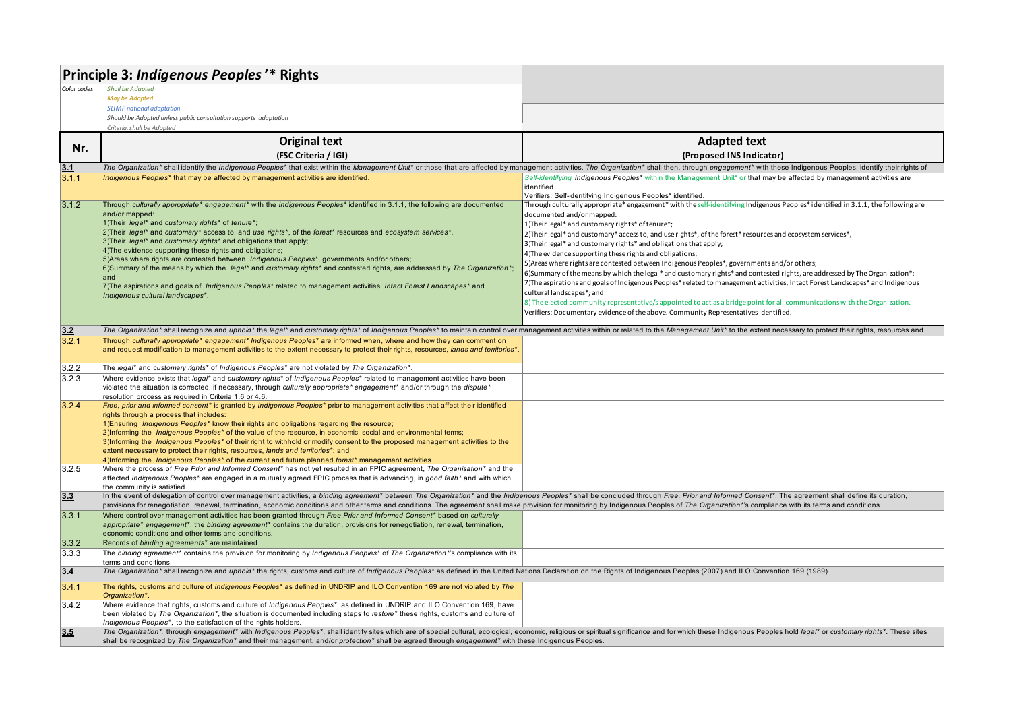|             | Principle 3: Indigenous Peoples'* Rights                                                                                                                                                                                       |                                                                                                                                  |
|-------------|--------------------------------------------------------------------------------------------------------------------------------------------------------------------------------------------------------------------------------|----------------------------------------------------------------------------------------------------------------------------------|
| Color codes | <b>Shall be Adapted</b>                                                                                                                                                                                                        |                                                                                                                                  |
|             | May be Adapted<br><b>SLIMF</b> national adaptation                                                                                                                                                                             |                                                                                                                                  |
|             | Should be Adopted unless public consultation supports adaptation                                                                                                                                                               |                                                                                                                                  |
|             | Criteria, shall be Adopted                                                                                                                                                                                                     |                                                                                                                                  |
| Nr.         | <b>Original text</b>                                                                                                                                                                                                           | <b>Adapted text</b>                                                                                                              |
|             | (FSC Criteria / IGI)                                                                                                                                                                                                           | (Proposed INS Indicator)                                                                                                         |
| 3.1         | The Organization* shall identify the Indigenous Peoples* that exist within the Management Unit* or those that are affected by management activities. The Organization* shall then, through engagement* with these Indigenous P |                                                                                                                                  |
| 3.1.1       | Indigenous Peoples* that may be affected by management activities are identified.                                                                                                                                              | Self-identifying Indigenous Peoples* within the Management Unit* or that may be affected by management activities are            |
|             |                                                                                                                                                                                                                                | identified.<br>Verifiers: Self-identifying Indigenous Peoples* identified                                                        |
| 3.1.2       | Through culturally appropriate* engagement* with the Indigenous Peoples* identified in 3.1.1, the following are documented                                                                                                     | Through culturally appropriate* engagement* with the self-identifying Indigenous Peoples* identified in 3.1.1, the following are |
|             | and/or mapped:                                                                                                                                                                                                                 | documented and/or mapped:                                                                                                        |
|             | 1) Their legal* and customary rights* of tenure*;<br>2) Their legal* and customary* access to, and use rights*, of the forest* resources and ecosystem services*,                                                              | 1) Their legal* and customary rights* of tenure*;                                                                                |
|             | 3) Their legal* and customary rights* and obligations that apply;                                                                                                                                                              | 2) Their legal* and customary* access to, and use rights*, of the forest* resources and ecosystem services*,                     |
|             | 4) The evidence supporting these rights and obligations;                                                                                                                                                                       | 3) Their legal* and customary rights* and obligations that apply;<br>4) The evidence supporting these rights and obligations;    |
|             | 5) Areas where rights are contested between Indigenous Peoples*, governments and/or others;                                                                                                                                    | 5) Areas where rights are contested between Indigenous Peoples*, governments and/or others;                                      |
|             | 6)Summary of the means by which the legal* and customary rights* and contested rights, are addressed by The Organization*;<br>and                                                                                              | 6)Summary of the means by which the legal* and customary rights* and contested rights, are addressed by The Organization*;       |
|             | 7) The aspirations and goals of Indigenous Peoples* related to management activities, Intact Forest Landscapes* and                                                                                                            | 7)The aspirations and goals of Indigenous Peoples* related to management activities, Intact Forest Landscapes* and Indigenous    |
|             | Indigenous cultural landscapes*.                                                                                                                                                                                               | cultural landscapes*; and                                                                                                        |
|             |                                                                                                                                                                                                                                | 8) The elected community representative/s appointed to act as a bridge point for all communications with the Organization.       |
|             |                                                                                                                                                                                                                                | Verifiers: Documentary evidence of the above. Community Representatives identified.                                              |
| 3.2         | The Organization* shall recognize and uphold* the legal* and customary rights* of Indigenous Peoples* to maintain control over management activities within or related to the Management Unit* to the extent necessary to prot |                                                                                                                                  |
| 3.2.1       | Through culturally appropriate* engagement* Indigenous Peoples* are informed when, where and how they can comment on                                                                                                           |                                                                                                                                  |
|             | and request modification to management activities to the extent necessary to protect their rights, resources, lands and territories*.                                                                                          |                                                                                                                                  |
| 3.2.2       | The legal* and customary rights* of Indigenous Peoples* are not violated by The Organization*.                                                                                                                                 |                                                                                                                                  |
| 3.2.3       | Where evidence exists that legal* and customary rights* of Indigenous Peoples* related to management activities have been                                                                                                      |                                                                                                                                  |
|             | violated the situation is corrected, if necessary, through culturally appropriate* engagement* and/or through the dispute*                                                                                                     |                                                                                                                                  |
| 3.2.4       | resolution process as required in Criteria 1.6 or 4.6.<br>Free, prior and informed consent* is granted by Indigenous Peoples* prior to management activities that affect their identified                                      |                                                                                                                                  |
|             | rights through a process that includes:                                                                                                                                                                                        |                                                                                                                                  |
|             | 1) Ensuring Indigenous Peoples* know their rights and obligations regarding the resource;                                                                                                                                      |                                                                                                                                  |
|             | 2)Informing the <i>Indigenous Peoples</i> <sup>*</sup> of the value of the resource, in economic, social and environmental terms;                                                                                              |                                                                                                                                  |
|             | 3)Informing the Indigenous Peoples* of their right to withhold or modify consent to the proposed management activities to the<br>extent necessary to protect their rights, resources, lands and territories*; and              |                                                                                                                                  |
|             | 4)Informing the Indigenous Peoples* of the current and future planned forest* management activities.                                                                                                                           |                                                                                                                                  |
| 3.2.5       | Where the process of Free Prior and Informed Consent* has not yet resulted in an FPIC agreement, The Organisation* and the                                                                                                     |                                                                                                                                  |
|             | affected Indigenous Peoples* are engaged in a mutually agreed FPIC process that is advancing, in good faith* and with which<br>the community is satisfied.                                                                     |                                                                                                                                  |
| 3.3         | In the event of delegation of control over management activities, a binding agreement* between The Organization* and the Indigenous Peoples* shall be concluded through Free, Prior and Informed Consent*. The agreement shall |                                                                                                                                  |
|             | provisions for renegotiation, renewal, termination, economic conditions and other terms and conditions. The agreement shall make provision for monitoring by Indigenous Peoples of The Organization*'s compliance with its ter |                                                                                                                                  |
| 3.3.1       | Where control over management activities has been granted through Free Prior and Informed Consent* based on culturally                                                                                                         |                                                                                                                                  |
|             | appropriate* engagement*, the binding agreement* contains the duration, provisions for renegotiation, renewal, termination,<br>economic conditions and other terms and conditions.                                             |                                                                                                                                  |
| 3.3.2       | Records of binding agreements* are maintained.                                                                                                                                                                                 |                                                                                                                                  |
| 3.3.3       | The binding agreement* contains the provision for monitoring by Indigenous Peoples* of The Organization*'s compliance with its                                                                                                 |                                                                                                                                  |
|             | terms and conditions.                                                                                                                                                                                                          |                                                                                                                                  |
| 3.4         | The Organization* shall recognize and uphold* the rights, customs and culture of Indigenous Peoples* as defined in the United Nations Declaration on the Rights of Indigenous Peoples (2007) and ILO Convention 169 (1989).    |                                                                                                                                  |
| 3.4.1       | The rights, customs and culture of Indigenous Peoples* as defined in UNDRIP and ILO Convention 169 are not violated by The<br>Organization*.                                                                                   |                                                                                                                                  |
| 3.4.2       | Where evidence that rights, customs and culture of Indigenous Peoples*, as defined in UNDRIP and ILO Convention 169, have                                                                                                      |                                                                                                                                  |
|             | been violated by The Organization*, the situation is documented including steps to restore* these rights, customs and culture of<br>Indigenous Peoples*, to the satisfaction of the rights holders.                            |                                                                                                                                  |
| 3.5         | The Organization*, through engagement* with Indigenous Peoples*, shall identify sites which are of special cultural, ecological, economic, religious or spiritual significance and for which these Indigenous Peoples hold leg |                                                                                                                                  |
|             | shall be recognized by The Organization* and their management, and/or protection* shall be agreed through engagement* with these Indigenous Peoples.                                                                           |                                                                                                                                  |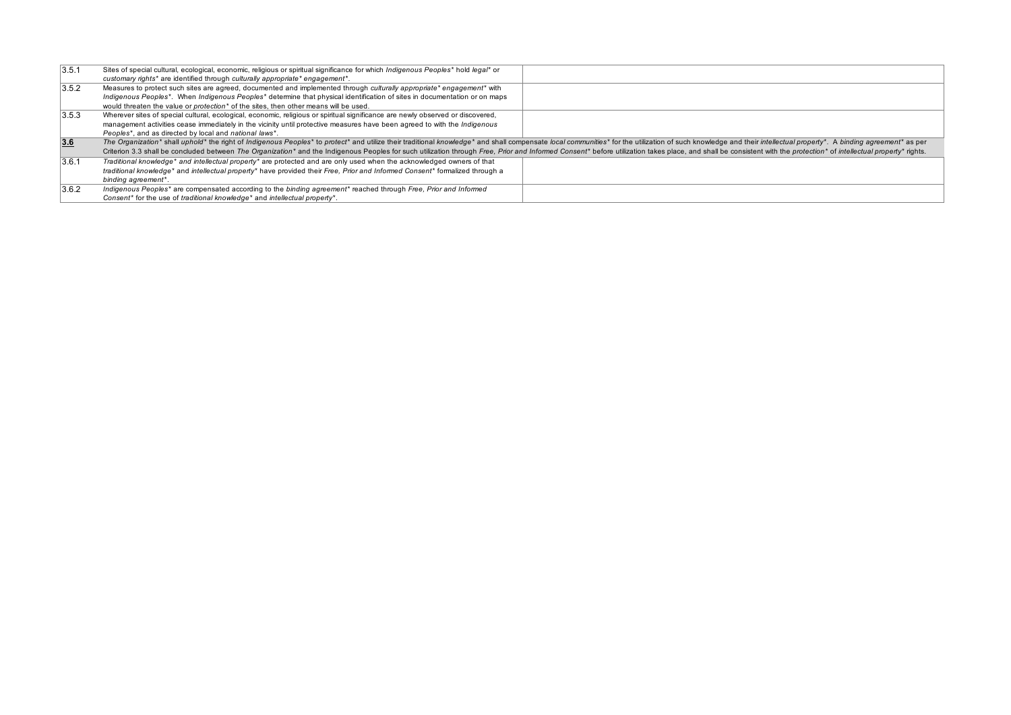| 3.5.1 | Sites of special cultural, ecological, economic, religious or spiritual significance for which Indigenous Peoples* hold legal* or                                                                                              |  |
|-------|--------------------------------------------------------------------------------------------------------------------------------------------------------------------------------------------------------------------------------|--|
|       | customary rights* are identified through culturally appropriate* engagement*.                                                                                                                                                  |  |
| 3.5.2 | Measures to protect such sites are agreed, documented and implemented through culturally appropriate* engagement* with                                                                                                         |  |
|       | Indigenous Peoples*. When Indigenous Peoples* determine that physical identification of sites in documentation or on maps                                                                                                      |  |
|       | would threaten the value or <i>protection</i> <sup>*</sup> of the sites, then other means will be used.                                                                                                                        |  |
| 3.5.3 | Wherever sites of special cultural, ecological, economic, religious or spiritual significance are newly observed or discovered,                                                                                                |  |
|       | management activities cease immediately in the vicinity until protective measures have been agreed to with the Indigenous                                                                                                      |  |
|       | Peoples*, and as directed by local and national laws*.                                                                                                                                                                         |  |
| 3.6   | The Organization* shall uphold* the right of Indigenous Peoples* to protect* and utilize their traditional knowledge* and shall compensate local communities* for the utilization of such knowledge and their intellectual pro |  |
|       | Criterion 3.3 shall be concluded between The Organization* and the Indigenous Peoples for such utilization through Free, Prior and Informed Consent* before utilization takes place, and shall be consistent with the protecti |  |
| 3.6.1 | Traditional knowledge* and intellectual property* are protected and are only used when the acknowledged owners of that                                                                                                         |  |
|       | traditional knowledge* and intellectual property* have provided their Free, Prior and Informed Consent* formalized through a                                                                                                   |  |
|       | binding agreement*.                                                                                                                                                                                                            |  |
| 3.6.2 | Indigenous Peoples* are compensated according to the binding agreement* reached through Free, Prior and Informed                                                                                                               |  |
|       | Consent <sup>*</sup> for the use of traditional knowledge <sup>*</sup> and intellectual property <sup>*</sup> .                                                                                                                |  |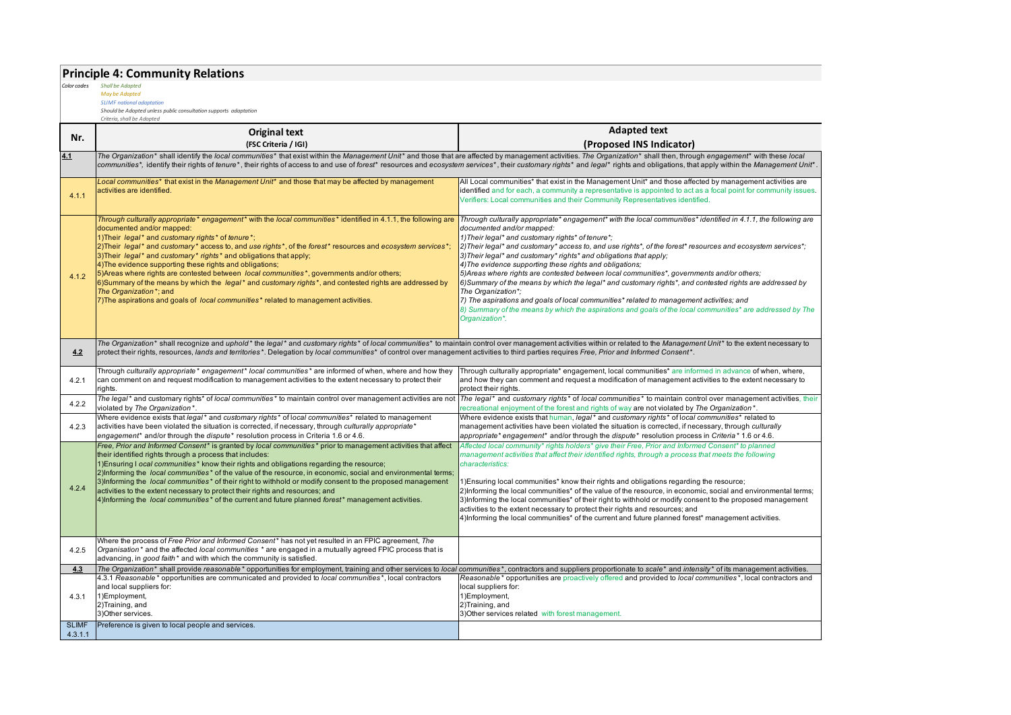# **Principle 4: Community Relations** *Color codes Shall be Adapted*

*May be Adapted SLIMF national adaptation*

*Should be Adopted unless public consultation supports adaptation*

| Nr.                   | <b>Original text</b>                                                                                                                                                                                                                                                                                                                                                                                                                                                                                                                                                                                                                                                                                                                                                                           | <b>Adapted text</b>                                                                                                                                                                                                                                                                                                                                                                                                                                                                                                                                                                                                                                                                                                                                                                                                                                                                                           |
|-----------------------|------------------------------------------------------------------------------------------------------------------------------------------------------------------------------------------------------------------------------------------------------------------------------------------------------------------------------------------------------------------------------------------------------------------------------------------------------------------------------------------------------------------------------------------------------------------------------------------------------------------------------------------------------------------------------------------------------------------------------------------------------------------------------------------------|---------------------------------------------------------------------------------------------------------------------------------------------------------------------------------------------------------------------------------------------------------------------------------------------------------------------------------------------------------------------------------------------------------------------------------------------------------------------------------------------------------------------------------------------------------------------------------------------------------------------------------------------------------------------------------------------------------------------------------------------------------------------------------------------------------------------------------------------------------------------------------------------------------------|
|                       | (FSC Criteria / IGI)                                                                                                                                                                                                                                                                                                                                                                                                                                                                                                                                                                                                                                                                                                                                                                           | (Proposed INS Indicator)                                                                                                                                                                                                                                                                                                                                                                                                                                                                                                                                                                                                                                                                                                                                                                                                                                                                                      |
| 4.1                   | The Organization* shall identify the local communities* that exist within the Management Unit* and those that are affected by management activities. The Organization* shall then, through engagement* with these local<br>communities*, identify their rights of tenure*, their rights of access to and use of forest* resources and ecosystem services*, their customary rights* and legal* rights and obligations, that apply within the Management Un                                                                                                                                                                                                                                                                                                                                      |                                                                                                                                                                                                                                                                                                                                                                                                                                                                                                                                                                                                                                                                                                                                                                                                                                                                                                               |
| 4.1.1                 | Local communities* that exist in the Management Unit* and those that may be affected by management<br>activities are identified.                                                                                                                                                                                                                                                                                                                                                                                                                                                                                                                                                                                                                                                               | All Local communities* that exist in the Management Unit* and those affected by management activities are<br>identified and for each, a community a representative is appointed to act as a focal point for community issues.<br>Verifiers: Local communities and their Community Representatives identified.                                                                                                                                                                                                                                                                                                                                                                                                                                                                                                                                                                                                 |
| 4.1.2                 | Through culturally appropriate * engagement * with the local communities * identified in 4.1.1, the following are<br>documented and/or mapped:<br>1) Their legal* and customary rights* of tenure*;<br>2)Their <i>legal</i> * and customary* access to, and use rights*, of the forest* resources and ecosystem services*<br>3) Their legal* and customary* rights* and obligations that apply;<br>4) The evidence supporting these rights and obligations;<br>5) Areas where rights are contested between local communities*, governments and/or others;<br>6)Summary of the means by which the legal* and customary rights*, and contested rights are addressed by<br>The Organization*; and<br>7) The aspirations and goals of <i>local communities</i> * related to management activities. | Through culturally appropriate* engagement* with the local communities* identified in 4.1.1, the following are<br>documented and/or mapped:<br>1) Their legal* and customary rights* of tenure*;<br>2) Their legal* and customary* access to, and use rights*, of the forest* resources and ecosystem services*;<br>3) Their legal* and customary* rights* and obligations that apply;<br>4) The evidence supporting these rights and obligations;<br>5) Areas where rights are contested between local communities*, governments and/or others;<br>6) Summary of the means by which the legal* and customary rights*, and contested rights are addressed by<br>The Organization*;<br>7) The aspirations and goals of local communities* related to management activities; and<br>8) Summary of the means by which the aspirations and goals of the local communities* are addressed by The<br>Organization*. |
| 4.2                   | The Organization* shall recognize and uphold* the legal* and customary rights* of local communities* to maintain control over management activities within or related to the Management Unit* to the extent necessary to<br>protect their rights, resources, lands and territories*. Delegation by local communities* of control over management activities to third parties requires Free, Prior and Informed Consent*.                                                                                                                                                                                                                                                                                                                                                                       |                                                                                                                                                                                                                                                                                                                                                                                                                                                                                                                                                                                                                                                                                                                                                                                                                                                                                                               |
| 4.2.1                 | Through culturally appropriate* engagement* local communities* are informed of when, where and how they<br>can comment on and request modification to management activities to the extent necessary to protect their<br>rights.                                                                                                                                                                                                                                                                                                                                                                                                                                                                                                                                                                | Through culturally appropriate* engagement, local communities* are informed in advance of when, where,<br>and how they can comment and request a modification of management activities to the extent necessary to<br>protect their rights.                                                                                                                                                                                                                                                                                                                                                                                                                                                                                                                                                                                                                                                                    |
| 4.2.2                 | The legal* and customary rights* of local communities* to maintain control over management activities are not<br>violated by The Organization*.                                                                                                                                                                                                                                                                                                                                                                                                                                                                                                                                                                                                                                                | The legal* and customary rights* of local communities* to maintain control over management activities, their<br>recreational enjoyment of the forest and rights of way are not violated by The Organization*.                                                                                                                                                                                                                                                                                                                                                                                                                                                                                                                                                                                                                                                                                                 |
| 4.2.3                 | Where evidence exists that <i>legal</i> * and customary rights * of local communities * related to management<br>activities have been violated the situation is corrected, if necessary, through culturally appropriate*<br>engagement* and/or through the dispute* resolution process in Criteria 1.6 or 4.6.                                                                                                                                                                                                                                                                                                                                                                                                                                                                                 | Where evidence exists that human, legal* and customary rights* of local communities* related to<br>management activities have been violated the situation is corrected, if necessary, through culturally<br>appropriate* engagement* and/or through the dispute* resolution process in Criteria* 1.6 or 4.6.                                                                                                                                                                                                                                                                                                                                                                                                                                                                                                                                                                                                  |
| 4.2.4                 | Free, Prior and Informed Consent* is granted by local communities* prior to management activities that affect<br>their identified rights through a process that includes:<br>1) Ensuring I ocal communities <sup>*</sup> know their rights and obligations regarding the resource;<br>2)Informing the <i>local communities</i> <sup>*</sup> of the value of the resource, in economic, social and environmental terms;<br>3)Informing the local communities* of their right to withhold or modify consent to the proposed management<br>activities to the extent necessary to protect their rights and resources; and<br>4)Informing the <i>local communities</i> <sup>*</sup> of the current and future planned forest <sup>*</sup> management activities.                                    | Affected local community* rights holders* give their Free, Prior and Informed Consent* to planned<br>management activities that affect their identified rights, through a process that meets the following<br>characteristics:<br>1) Ensuring local communities* know their rights and obligations regarding the resource;<br>2)Informing the local communities* of the value of the resource, in economic, social and environmental terms;<br>3)Informing the local communities* of their right to withhold or modify consent to the proposed management<br>activities to the extent necessary to protect their rights and resources; and<br>4)Informing the local communities* of the current and future planned forest* management activities.                                                                                                                                                             |
| 4.2.5                 | Where the process of Free Prior and Informed Consent* has not yet resulted in an FPIC agreement, The<br>Organisation * and the affected local communities * are engaged in a mutually agreed FPIC process that is<br>advancing, in good faith* and with which the community is satisfied.                                                                                                                                                                                                                                                                                                                                                                                                                                                                                                      |                                                                                                                                                                                                                                                                                                                                                                                                                                                                                                                                                                                                                                                                                                                                                                                                                                                                                                               |
| 4.3                   | The Organization* shall provide reasonable* opportunities for employment, training and other services to local communities*, contractors and suppliers proportionate to scale* and intensity* of its management activities.                                                                                                                                                                                                                                                                                                                                                                                                                                                                                                                                                                    |                                                                                                                                                                                                                                                                                                                                                                                                                                                                                                                                                                                                                                                                                                                                                                                                                                                                                                               |
| 4.3.1<br><b>SLIMF</b> | 4.3.1 Reasonable* opportunities are communicated and provided to local communities*, local contractors<br>and local suppliers for:<br>1)Employment,<br>2)Training, and<br>3) Other services.<br>Preference is given to local people and services.                                                                                                                                                                                                                                                                                                                                                                                                                                                                                                                                              | Reasonable* opportunities are proactively offered and provided to local communities*, local contractors and<br>local suppliers for:<br>1)Employment,<br>2)Training, and<br>3) Other services related with forest management.                                                                                                                                                                                                                                                                                                                                                                                                                                                                                                                                                                                                                                                                                  |
| 4.3.1.1               |                                                                                                                                                                                                                                                                                                                                                                                                                                                                                                                                                                                                                                                                                                                                                                                                |                                                                                                                                                                                                                                                                                                                                                                                                                                                                                                                                                                                                                                                                                                                                                                                                                                                                                                               |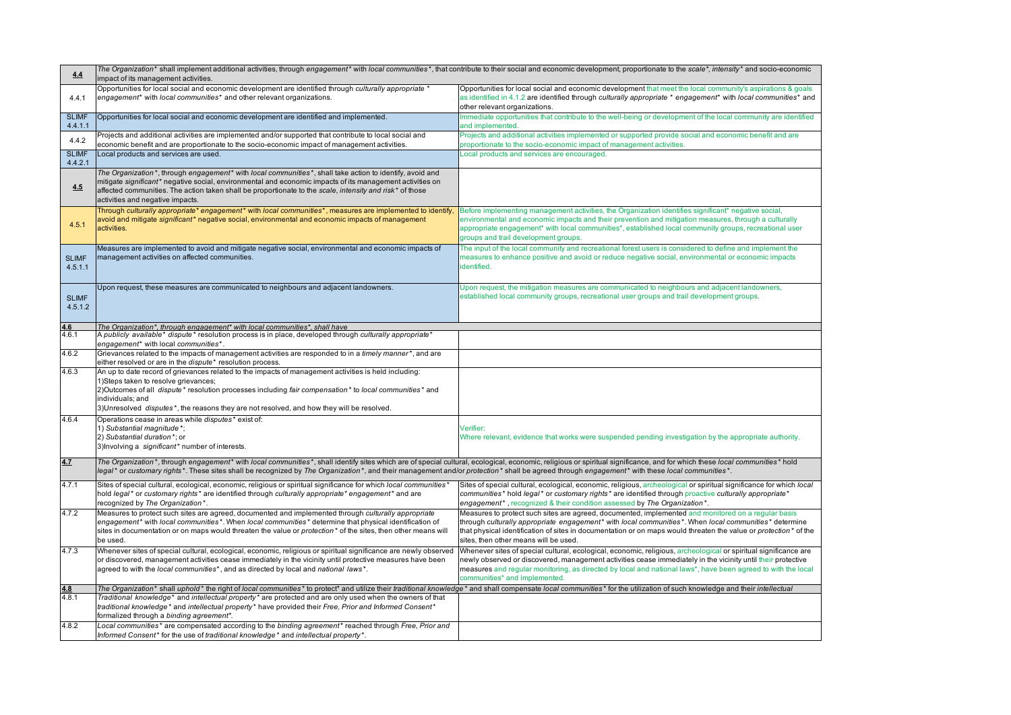| 4.4                     | The Organization* shall implement additional activities, through engagement* with local communities*, that contribute to their social and economic development, proportionate to the scale*, intensity* and socio-economic<br>impact of its management activities.                                                                                                                                                          |                                                                                                                                                                                                                                                                                                                                                                                   |
|-------------------------|-----------------------------------------------------------------------------------------------------------------------------------------------------------------------------------------------------------------------------------------------------------------------------------------------------------------------------------------------------------------------------------------------------------------------------|-----------------------------------------------------------------------------------------------------------------------------------------------------------------------------------------------------------------------------------------------------------------------------------------------------------------------------------------------------------------------------------|
| 4.4.1                   | Opportunities for local social and economic development are identified through culturally appropriate *<br>engagement* with local communities* and other relevant organizations.                                                                                                                                                                                                                                            | Opportunities for local social and economic development that meet the local community's aspirations & goals<br>as identified in 4.1.2 are identified through culturally appropriate * engagement* with local communities* and<br>other relevant organizations.                                                                                                                    |
| <b>SLIMF</b><br>4.4.1.1 | Opportunities for local social and economic development are identified and implemented.                                                                                                                                                                                                                                                                                                                                     | Immediate opportunities that contribute to the well-being or development of the local community are identified<br>and implemented.                                                                                                                                                                                                                                                |
| 4.4.2                   | Projects and additional activities are implemented and/or supported that contribute to local social and<br>economic benefit and are proportionate to the socio-economic impact of management activities.                                                                                                                                                                                                                    | Projects and additional activities implemented or supported provide social and economic benefit and are<br>proportionate to the socio-economic impact of management activities.                                                                                                                                                                                                   |
| <b>SLIMF</b><br>4.4.2.1 | Local products and services are used.                                                                                                                                                                                                                                                                                                                                                                                       | Local products and services are encouraged.                                                                                                                                                                                                                                                                                                                                       |
| 4.5                     | The Organization*, through engagement* with local communities*, shall take action to identify, avoid and<br>mitigate significant* negative social, environmental and economic impacts of its management activities on<br>affected communities. The action taken shall be proportionate to the scale, intensity and risk* of those<br>activities and negative impacts.                                                       |                                                                                                                                                                                                                                                                                                                                                                                   |
| 4.5.1                   | Through culturally appropriate* engagement* with local communities*, measures are implemented to identify,<br>avoid and mitigate significant* negative social, environmental and economic impacts of management<br>activities.                                                                                                                                                                                              | Before implementing management activities, the Organization identifies significant* negative social,<br>environmental and economic impacts and their prevention and mitigation measures, through a culturally<br>appropriate engagement* with local communities*, established local community groups, recreational user<br>groups and trail development groups.                   |
| <b>SLIMF</b><br>4.5.1.1 | Measures are implemented to avoid and mitigate negative social, environmental and economic impacts of<br>management activities on affected communities.                                                                                                                                                                                                                                                                     | The input of the local community and recreational forest users is considered to define and implement the<br>measures to enhance positive and avoid or reduce negative social, environmental or economic impacts<br>identified.                                                                                                                                                    |
| <b>SLIMF</b><br>4.5.1.2 | Upon request, these measures are communicated to neighbours and adjacent landowners.                                                                                                                                                                                                                                                                                                                                        | Upon request, the mitigation measures are communicated to neighbours and adjacent landowners,<br>established local community groups, recreational user groups and trail development groups.                                                                                                                                                                                       |
| 4.6                     | The Organization*, through engagement* with local communities*, shall have                                                                                                                                                                                                                                                                                                                                                  |                                                                                                                                                                                                                                                                                                                                                                                   |
| 4.6.1                   | A publicly available* dispute* resolution process is in place, developed through culturally appropriate*<br>engagement* with local communities*                                                                                                                                                                                                                                                                             |                                                                                                                                                                                                                                                                                                                                                                                   |
| 4.6.2                   | Grievances related to the impacts of management activities are responded to in a timely manner*, and are<br>either resolved or are in the dispute* resolution process.                                                                                                                                                                                                                                                      |                                                                                                                                                                                                                                                                                                                                                                                   |
| 4.6.3                   | An up to date record of grievances related to the impacts of management activities is held including:<br>1)Steps taken to resolve grievances;<br>2)Outcomes of all dispute * resolution processes including fair compensation * to local communities * and<br>individuals; and<br>3) Unresolved <i>disputes</i> <sup>*</sup> , the reasons they are not resolved, and how they will be resolved.                            |                                                                                                                                                                                                                                                                                                                                                                                   |
| 4.6.4                   | Operations cease in areas while disputes* exist of:<br>1) Substantial magnitude*;<br>2) Substantial duration*; or<br>3) Involving a significant* number of interests.                                                                                                                                                                                                                                                       | Verifier:<br>Where relevant, evidence that works were suspended pending investigation by the appropriate authority.                                                                                                                                                                                                                                                               |
| 4.7                     | The Organization*, through engagement* with local communities*, shall identify sites which are of special cultural, ecological, economic, religious or spiritual significance, and for which these local communities* hold<br>legal* or customary rights*. These sites shall be recognized by The Organization*, and their management and/or protection* shall be agreed through engagement* with these local communities*. |                                                                                                                                                                                                                                                                                                                                                                                   |
| 4.7.1                   | Sites of special cultural, ecological, economic, religious or spiritual significance for which local communities'<br>hold legal* or customary rights* are identified through culturally appropriate* engagement* and are<br>recognized by The Organization*.                                                                                                                                                                | Sites of special cultural, ecological, economic, religious, archeological or spiritual significance for which local<br>communities* hold legal* or customary rights* are identified through proactive culturally appropriate*<br>engagement*, recognized & their condition assessed by The Organization*.                                                                         |
| 4.7.2                   | Measures to protect such sites are agreed, documented and implemented through culturally appropriate<br>engagement* with local communities*. When local communities* determine that physical identification of<br>sites in documentation or on maps would threaten the value or <i>protection</i> * of the sites, then other means will<br>be used.                                                                         | Measures to protect such sites are agreed, documented, implemented and monitored on a regular basis<br>through culturally appropriate engagement* with local communities*. When local communities* determine<br>that physical identification of sites in documentation or on maps would threaten the value or protection* of the<br>sites, then other means will be used.         |
| 4.7.3                   | Whenever sites of special cultural, ecological, economic, religious or spiritual significance are newly observed<br>or discovered, management activities cease immediately in the vicinity until protective measures have been<br>agreed to with the local communities*, and as directed by local and national laws*.                                                                                                       | Whenever sites of special cultural, ecological, economic, religious, archeological or spiritual significance are<br>newly observed or discovered, management activities cease immediately in the vicinity until their protective<br>measures and reqular monitoring, as directed by local and national laws*, have been agreed to with the local<br>communities* and implemented. |
| 4.8                     | The Organization* shall uphold* the right of local communities* to protect* and utilize their traditional knowledge* and shall compensate local communities* for the utilization of such knowledge and their intellectual                                                                                                                                                                                                   |                                                                                                                                                                                                                                                                                                                                                                                   |
| 4.8.1                   | Traditional knowledge* and intellectual property* are protected and are only used when the owners of that<br>*raditional knowledge* and intellectual property* have provided their Free, Prior and Informed Consent<br>formalized through a binding agreement*.                                                                                                                                                             |                                                                                                                                                                                                                                                                                                                                                                                   |
| 4.8.2                   | Local communities* are compensated according to the binding agreement* reached through Free, Prior and<br>Informed Consent* for the use of traditional knowledge* and intellectual property*.                                                                                                                                                                                                                               |                                                                                                                                                                                                                                                                                                                                                                                   |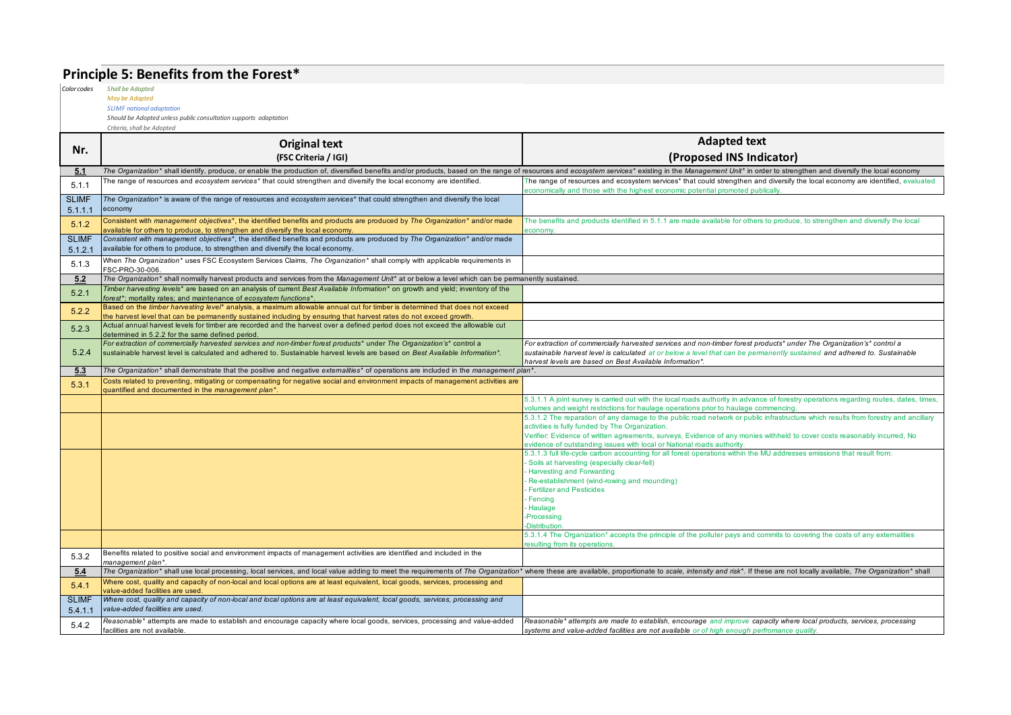# **Principle 5: Benefits from the Forest\***

*Color codes Shall be Adapted*

#### *May be Adapted*

*SLIMF national adaptation Should be Adopted unless public consultation supports adaptation*

|                         | <b>Original text</b>                                                                                                                                                                                                                               | <b>Adapted text</b>                                                                                                                                                                                                           |
|-------------------------|----------------------------------------------------------------------------------------------------------------------------------------------------------------------------------------------------------------------------------------------------|-------------------------------------------------------------------------------------------------------------------------------------------------------------------------------------------------------------------------------|
| Nr.                     | (FSC Criteria / IGI)                                                                                                                                                                                                                               | (Proposed INS Indicator)                                                                                                                                                                                                      |
| 5.1                     | The Organization* shall identify, produce, or enable the production of, diversified benefits and/or products, based on the range of resources and ecosystem services* existing in the Management Unit* in order to strengthen                      |                                                                                                                                                                                                                               |
| 5.1.1                   | The range of resources and ecosystem services* that could strengthen and diversify the local economy are identified.                                                                                                                               | The range of resources and ecosystem services* that could strengthen and diversify the local economy are identified, evaluated<br>economically and those with the highest economic potential promoted publically.             |
| <b>SLIMF</b><br>5.1.1.1 | The Organization* is aware of the range of resources and ecosystem services* that could strengthen and diversify the local<br>economy                                                                                                              |                                                                                                                                                                                                                               |
| 5.1.2                   | Consistent with management objectives*, the identified benefits and products are produced by The Organization* and/or made<br>available for others to produce, to strengthen and diversify the local economy.                                      | The benefits and products identified in 5.1.1 are made available for others to produce, to strengthen and diversify the local<br>economy.                                                                                     |
| <b>SLIMF</b><br>5.1.2.1 | Consistent with management objectives*, the identified benefits and products are produced by The Organization* and/or made<br>available for others to produce, to strengthen and diversify the local economy.                                      |                                                                                                                                                                                                                               |
| 5.1.3                   | When The Organization* uses FSC Ecosystem Services Claims, The Organization* shall comply with applicable requirements in<br>FSC-PRO-30-006                                                                                                        |                                                                                                                                                                                                                               |
| 5.2                     | The Organization* shall normally harvest products and services from the Management Unit* at or below a level which can be permanently sustained.                                                                                                   |                                                                                                                                                                                                                               |
| 5.2.1                   | Timber harvesting levels <sup>*</sup> are based on an analysis of current Best Available Information <sup>*</sup> on growth and yield; inventory of the<br>forest*; mortality rates; and maintenance of ecosystem functions*.                      |                                                                                                                                                                                                                               |
| 5.2.2                   | Based on the timber harvesting level* analysis, a maximum allowable annual cut for timber is determined that does not exceed<br>the harvest level that can be permanently sustained including by ensuring that harvest rates do not exceed growth. |                                                                                                                                                                                                                               |
| 5.2.3                   | Actual annual harvest levels for timber are recorded and the harvest over a defined period does not exceed the allowable cut<br>determined in 5.2.2 for the same defined period.                                                                   |                                                                                                                                                                                                                               |
|                         | For extraction of commercially harvested services and non-timber forest products* under The Organization's* control a                                                                                                                              | For extraction of commercially harvested services and non-timber forest products* under The Organization's* control a                                                                                                         |
| 5.2.4                   | sustainable harvest level is calculated and adhered to. Sustainable harvest levels are based on Best Available Information*.                                                                                                                       | sustainable harvest level is calculated at or below a level that can be permanently sustained and adhered to. Sustainable<br>harvest levels are based on Best Available Information*.                                         |
| 5.3                     | The Organization* shall demonstrate that the positive and negative externalities* of operations are included in the management plan*.                                                                                                              |                                                                                                                                                                                                                               |
| 5.3.1                   | Costs related to preventing, mitigating or compensating for negative social and environment impacts of management activities are<br>quantified and documented in the management plan*.                                                             |                                                                                                                                                                                                                               |
|                         |                                                                                                                                                                                                                                                    | 5.3.1.1 A joint survey is carried out with the local roads authority in advance of forestry operations regarding routes, dates, times,<br>volumes and weight restrictions for haulage operations prior to haulage commencing. |
|                         |                                                                                                                                                                                                                                                    | 5.3.1.2 The reparation of any damage to the public road network or public infrastructure which results from forestry and ancillary                                                                                            |
|                         |                                                                                                                                                                                                                                                    | activities is fully funded by The Organization.                                                                                                                                                                               |
|                         |                                                                                                                                                                                                                                                    | Verifier: Evidence of written agreements, surveys, Evidence of any monies withheld to cover costs reasonably incurred, No<br>evidence of outstanding issues with local or National roads authority.                           |
|                         |                                                                                                                                                                                                                                                    | 5.3.1.3 full life-cycle carbon accounting for all forest operations within the MU addresses emissions that result from:                                                                                                       |
|                         |                                                                                                                                                                                                                                                    | Soils at harvesting (especially clear-fell)                                                                                                                                                                                   |
|                         |                                                                                                                                                                                                                                                    | <b>Harvesting and Forwarding</b><br>Re-establishment (wind-rowing and mounding)                                                                                                                                               |
|                         |                                                                                                                                                                                                                                                    | <b>Fertilizer and Pesticides</b>                                                                                                                                                                                              |
|                         |                                                                                                                                                                                                                                                    | Fencing                                                                                                                                                                                                                       |
|                         |                                                                                                                                                                                                                                                    | Haulage<br>Processing                                                                                                                                                                                                         |
|                         |                                                                                                                                                                                                                                                    | <b>Distribution</b>                                                                                                                                                                                                           |
|                         |                                                                                                                                                                                                                                                    | 5.3.1.4 The Organization* accepts the principle of the polluter pays and commits to covering the costs of any externalities                                                                                                   |
|                         | Benefits related to positive social and environment impacts of management activities are identified and included in the                                                                                                                            | esulting from its operations.                                                                                                                                                                                                 |
| 5.3.2                   | management plan*.                                                                                                                                                                                                                                  |                                                                                                                                                                                                                               |
| 5.4                     | The Organization* shall use local processing, local services, and local value adding to meet the requirements of The Organization* where these are available, proportionate to scale, intensity and risk*. If these are not lo                     |                                                                                                                                                                                                                               |
| 5.4.1                   | Where cost, quality and capacity of non-local and local options are at least equivalent, local goods, services, processing and<br>value-added facilities are used.                                                                                 |                                                                                                                                                                                                                               |
| <b>SLIMF</b><br>5.4.1.1 | Where cost, quality and capacity of non-local and local options are at least equivalent, local goods, services, processing and<br>value-added facilities are used.                                                                                 |                                                                                                                                                                                                                               |
| 5.4.2                   | Reasonable* attempts are made to establish and encourage capacity where local goods, services, processing and value-added                                                                                                                          | Reasonable* attempts are made to establish, encourage and improve capacity where local products, services, processing                                                                                                         |
|                         | facilities are not available.                                                                                                                                                                                                                      | systems and value-added facilities are not available or of high enough perfromance quality.                                                                                                                                   |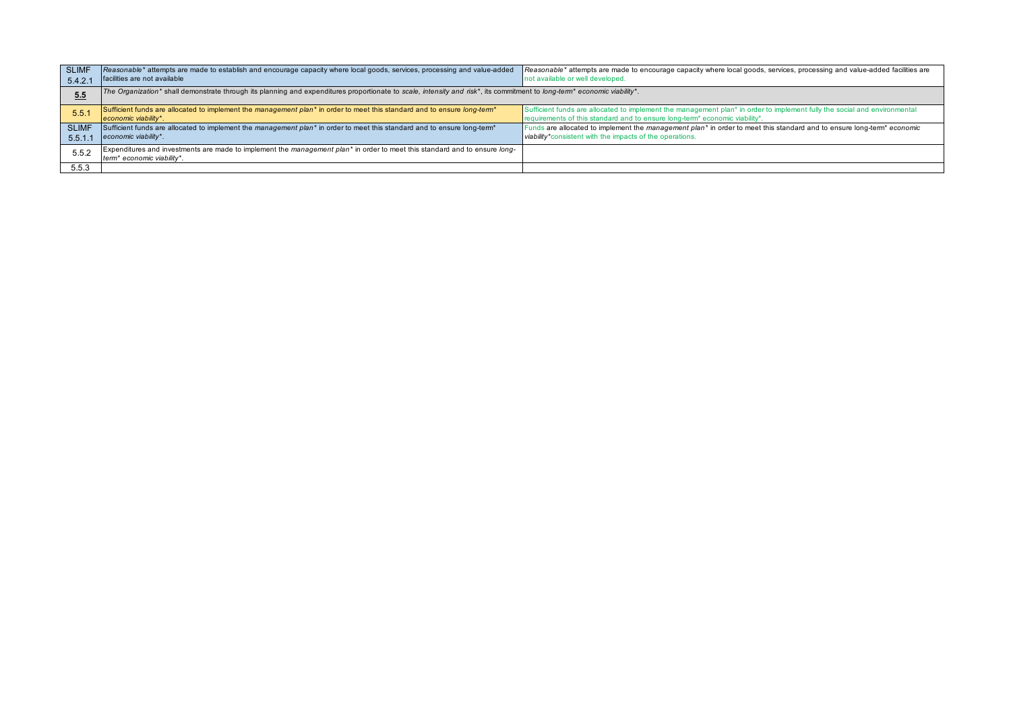| <b>SLIMF</b><br>5.4.2.7 | Reasonable* attempts are made to establish and encourage capacity where local goods, services, processing and value-added<br>facilities are not available                        | Reasonable* attempts are made to encourage capacity where local goods, services, processing and value-added facilities are<br>not available or well developed.                                                                    |
|-------------------------|----------------------------------------------------------------------------------------------------------------------------------------------------------------------------------|-----------------------------------------------------------------------------------------------------------------------------------------------------------------------------------------------------------------------------------|
| 5.5                     | The Organization* shall demonstrate through its planning and expenditures proportionate to scale, intensity and risk*, its commitment to long-term* economic viability*.         |                                                                                                                                                                                                                                   |
| 5.5.1                   | Sufficient funds are allocated to implement the management plan* in order to meet this standard and to ensure long-term*<br>economic viability*.                                 | Sufficient funds are allocated to implement the management plan* in order to implement fully the social and environmental<br>requirements of this standard and to ensure long-term <sup>*</sup> economic viability <sup>*</sup> . |
| <b>SLIMF</b><br>5.5.1.7 | Sufficient funds are allocated to implement the management plan <sup>*</sup> in order to meet this standard and to ensure long-term <sup>*</sup><br>economic viability*.         | Funds are allocated to implement the management plan <sup>*</sup> in order to meet this standard and to ensure long-term <sup>*</sup> economic<br>viability*consistent with the impacts of the operations.                        |
| 5.5.2                   | Expenditures and investments are made to implement the management plan <sup>*</sup> in order to meet this standard and to ensure long-<br>term <sup>*</sup> economic viability*. |                                                                                                                                                                                                                                   |
| 5.5.3                   |                                                                                                                                                                                  |                                                                                                                                                                                                                                   |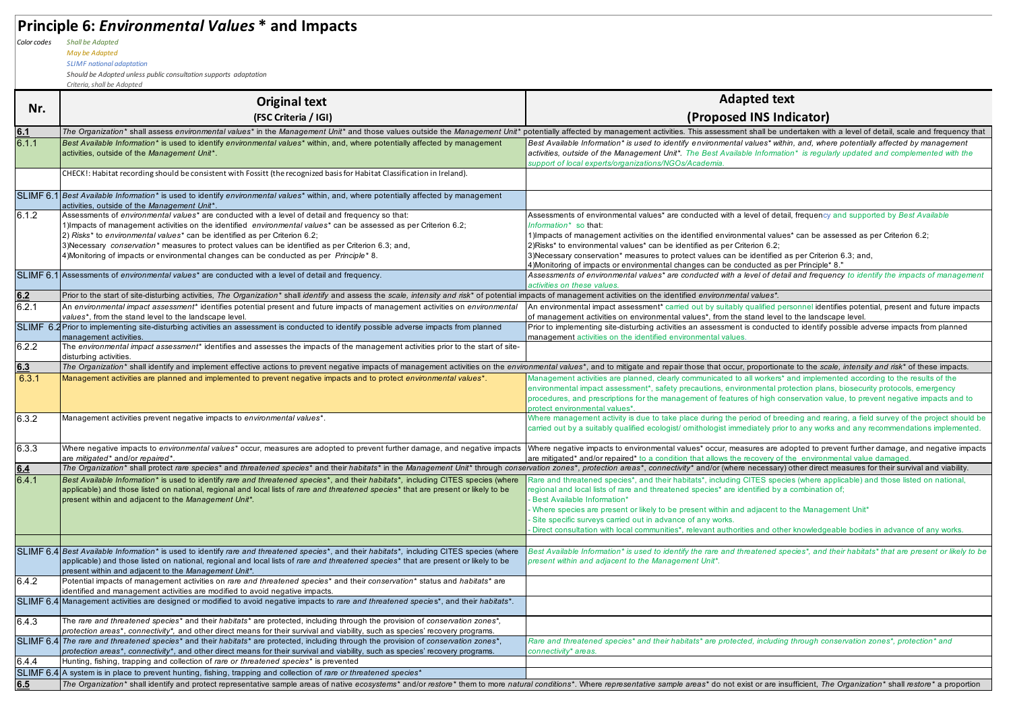# **Principle 6:** *Environmental Values* **\* and Impacts**

*Color codes Shall be Adapted*

*May be Adapted*

*SLIMF national adaptation*

*Should be Adopted unless public consultation supports adaptation*

|       | Criteria, shall be Adopted                                                                                                                                                                                                                                                                                                                                                                                                                                                                                   |                                                                                                                                                                                                                                                                                                                                                                                                                                                                                                                                                               |  |  |
|-------|--------------------------------------------------------------------------------------------------------------------------------------------------------------------------------------------------------------------------------------------------------------------------------------------------------------------------------------------------------------------------------------------------------------------------------------------------------------------------------------------------------------|---------------------------------------------------------------------------------------------------------------------------------------------------------------------------------------------------------------------------------------------------------------------------------------------------------------------------------------------------------------------------------------------------------------------------------------------------------------------------------------------------------------------------------------------------------------|--|--|
| Nr.   | <b>Original text</b>                                                                                                                                                                                                                                                                                                                                                                                                                                                                                         | <b>Adapted text</b>                                                                                                                                                                                                                                                                                                                                                                                                                                                                                                                                           |  |  |
|       | (FSC Criteria / IGI)                                                                                                                                                                                                                                                                                                                                                                                                                                                                                         | (Proposed INS Indicator)                                                                                                                                                                                                                                                                                                                                                                                                                                                                                                                                      |  |  |
| 6.1   |                                                                                                                                                                                                                                                                                                                                                                                                                                                                                                              | The Organization* shall assess environmental values* in the Management Unit* and those values outside the Management Unit* potentially affected by management activities. This assessment shall be undertaken with a level of                                                                                                                                                                                                                                                                                                                                 |  |  |
| 6.1.1 | Best Available Information* is used to identify environmental values* within, and, where potentially affected by management<br>activities, outside of the Management Unit*.                                                                                                                                                                                                                                                                                                                                  | Best Available Information* is used to identify environmental values* within, and, where potentially affected by management<br>activities, outside of the Management Unit*. The Best Available Information* is regularly updated and complemented with the<br>support of local experts/organizations/NGOs/Academia.                                                                                                                                                                                                                                           |  |  |
|       | CHECK!: Habitat recording should be consistent with Fossitt (the recognized basis for Habitat Classification in Ireland).                                                                                                                                                                                                                                                                                                                                                                                    |                                                                                                                                                                                                                                                                                                                                                                                                                                                                                                                                                               |  |  |
|       | SLIMF 6.1 Best Available Information* is used to identify environmental values* within, and, where potentially affected by management<br>activities, outside of the Management Unit*.                                                                                                                                                                                                                                                                                                                        |                                                                                                                                                                                                                                                                                                                                                                                                                                                                                                                                                               |  |  |
| 6.1.2 | Assessments of environmental values* are conducted with a level of detail and frequency so that:<br>1) Impacts of management activities on the identified environmental values* can be assessed as per Criterion 6.2;<br>2) Risks* to environmental values* can be identified as per Criterion 6.2;<br>3) Necessary conservation* measures to protect values can be identified as per Criterion 6.3; and,<br>4) Monitoring of impacts or environmental changes can be conducted as per <i>Principle</i> * 8. | Assessments of environmental values* are conducted with a level of detail, frequency and supported by Best Available<br>Information* so that:<br>1) Impacts of management activities on the identified environmental values* can be assessed as per Criterion 6.2;<br>2)Risks* to environmental values* can be identified as per Criterion 6.2;<br>3) Necessary conservation* measures to protect values can be identified as per Criterion 6.3; and,<br>4) Monitoring of impacts or environmental changes can be conducted as per Principle* 8."             |  |  |
|       | SLIMF 6.1 Assessments of environmental values* are conducted with a level of detail and frequency.                                                                                                                                                                                                                                                                                                                                                                                                           | Assessments of environmental values* are conducted with a level of detail and frequency to identify the impacts of management<br>activities on these values.                                                                                                                                                                                                                                                                                                                                                                                                  |  |  |
| 6.2   | Prior to the start of site-disturbing activities, The Organization* shall identify and assess the scale, intensity and risk* of potential impacts of management activities on the identified environmental values*.                                                                                                                                                                                                                                                                                          |                                                                                                                                                                                                                                                                                                                                                                                                                                                                                                                                                               |  |  |
| 6.2.1 | An environmental impact assessment* identifies potential present and future impacts of management activities on environmental<br>values*, from the stand level to the landscape level.                                                                                                                                                                                                                                                                                                                       | An environmental impact assessment* carried out by suitably qualified personnel identifies potential, present and future impacts<br>of management activities on environmental values*, from the stand level to the landscape level.                                                                                                                                                                                                                                                                                                                           |  |  |
|       | SLIMF 6.2 Prior to implementing site-disturbing activities an assessment is conducted to identify possible adverse impacts from planned<br>management activities.                                                                                                                                                                                                                                                                                                                                            | Prior to implementing site-disturbing activities an assessment is conducted to identify possible adverse impacts from planned<br>management activities on the identified environmental values.                                                                                                                                                                                                                                                                                                                                                                |  |  |
| 6.2.2 | The environmental impact assessment* identifies and assesses the impacts of the management activities prior to the start of site-<br>disturbing activities.                                                                                                                                                                                                                                                                                                                                                  |                                                                                                                                                                                                                                                                                                                                                                                                                                                                                                                                                               |  |  |
| 6.3   | The Organization* shall identify and implement effective actions to prevent negative impacts of management activities on the environmental values*, and to mitigate and repair those that occur, proportionate to the scale, i                                                                                                                                                                                                                                                                               |                                                                                                                                                                                                                                                                                                                                                                                                                                                                                                                                                               |  |  |
| 6.3.1 | Management activities are planned and implemented to prevent negative impacts and to protect environmental values*.                                                                                                                                                                                                                                                                                                                                                                                          | Management activities are planned, clearly communicated to all workers* and implemented according to the results of the<br>environmental impact assessment*, safety precautions, environmental protection plans, biosecurity protocols, emergency<br>procedures, and prescriptions for the management of features of high conservation value, to prevent negative impacts and to<br>protect environmental values*.                                                                                                                                            |  |  |
| 6.3.2 | Management activities prevent negative impacts to environmental values*.                                                                                                                                                                                                                                                                                                                                                                                                                                     | Where management activity is due to take place during the period of breeding and rearing, a field survey of the project should be<br>carried out by a suitably qualified ecologist/ omithologist immediately prior to any works and any recommendations implemented.                                                                                                                                                                                                                                                                                          |  |  |
| 6.3.3 | Where negative impacts to environmental values* occur, measures are adopted to prevent further damage, and negative impacts<br>are mitigated* and/or repaired*.                                                                                                                                                                                                                                                                                                                                              | Where negative impacts to environmental values* occur, measures are adopted to prevent further damage, and negative impacts<br>are mitigated* and/or repaired* to a condition that allows the recovery of the environmental value damaged                                                                                                                                                                                                                                                                                                                     |  |  |
| 6.4   | The Organization* shall protect rare species* and threatened species* and their habitats* in the Management Unit* through conservation zones*, protection areas*, connectivity* and/or (where necessary) other direct measures                                                                                                                                                                                                                                                                               |                                                                                                                                                                                                                                                                                                                                                                                                                                                                                                                                                               |  |  |
| 6.4.1 | Best Available Information* is used to identify rare and threatened species*, and their habitats*, including CITES species (where<br>applicable) and those listed on national, regional and local lists of rare and threatened species* that are present or likely to be<br>present within and adjacent to the Management Unit*.                                                                                                                                                                             | Rare and threatened species*, and their habitats*, including CITES species (where applicable) and those listed on national,<br>regional and local lists of rare and threatened species* are identified by a combination of;<br><b>Best Available Information*</b><br>Where species are present or likely to be present within and adjacent to the Management Unit*<br>Site specific surveys carried out in advance of any works.<br>Direct consultation with local communities*, relevant authorities and other knowledgeable bodies in advance of any works. |  |  |
|       | SLIMF 6.4 Best Available Information* is used to identify rare and threatened species*, and their habitats*, including CITES species (where<br>applicable) and those listed on national, regional and local lists of rare and threatened species* that are present or likely to be<br>present within and adjacent to the Management Unit*.                                                                                                                                                                   | Best Available Information* is used to identify the rare and threatened species*, and their habitats* that are present or likely to be<br>present within and adjacent to the Management Unit*.                                                                                                                                                                                                                                                                                                                                                                |  |  |
| 6.4.2 | Potential impacts of management activities on rare and threatened species* and their conservation* status and habitats* are<br>identified and management activities are modified to avoid negative impacts.                                                                                                                                                                                                                                                                                                  |                                                                                                                                                                                                                                                                                                                                                                                                                                                                                                                                                               |  |  |
|       | SLIMF 6.4 Management activities are designed or modified to avoid negative impacts to rare and threatened species*, and their habitats*.                                                                                                                                                                                                                                                                                                                                                                     |                                                                                                                                                                                                                                                                                                                                                                                                                                                                                                                                                               |  |  |
| 6.4.3 | The rare and threatened species* and their habitats* are protected, including through the provision of conservation zones*,<br>protection areas*, connectivity*, and other direct means for their survival and viability, such as species' recovery programs.                                                                                                                                                                                                                                                |                                                                                                                                                                                                                                                                                                                                                                                                                                                                                                                                                               |  |  |
|       | SLIMF 6.4 The rare and threatened species* and their habitats* are protected, including through the provision of conservation zones*,<br>protection areas*, connectivity*, and other direct means for their survival and viability, such as species' recovery programs.                                                                                                                                                                                                                                      | Rare and threatened species* and their habitats* are protected, including through conservation zones*, protection* and<br>connectivity* areas.                                                                                                                                                                                                                                                                                                                                                                                                                |  |  |
| 6.4.4 | Hunting, fishing, trapping and collection of rare or threatened species* is prevented                                                                                                                                                                                                                                                                                                                                                                                                                        |                                                                                                                                                                                                                                                                                                                                                                                                                                                                                                                                                               |  |  |
|       | SLIMF 6.4 A system is in place to prevent hunting, fishing, trapping and collection of rare or threatened species*                                                                                                                                                                                                                                                                                                                                                                                           |                                                                                                                                                                                                                                                                                                                                                                                                                                                                                                                                                               |  |  |
| 6.5   | The Organization* shall identify and protect representative sample areas of native ecosystems* and/or restore* them to more natural conditions*. Where representative sample areas* do not exist or are insufficient, The Orga                                                                                                                                                                                                                                                                               |                                                                                                                                                                                                                                                                                                                                                                                                                                                                                                                                                               |  |  |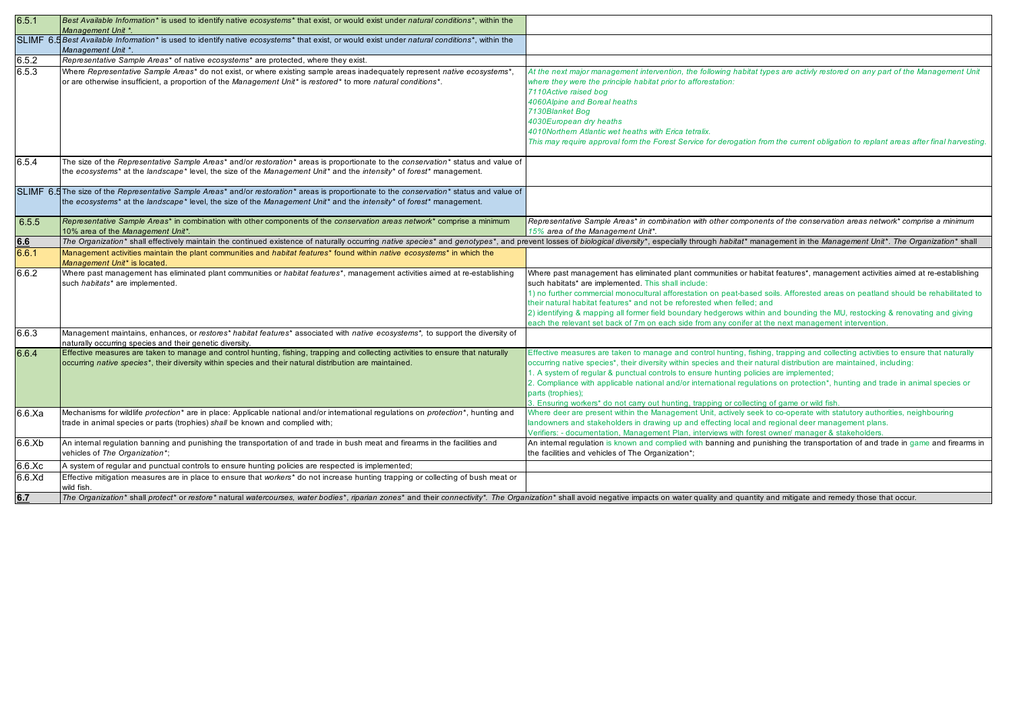| 6.5.1        | Best Available Information* is used to identify native ecosystems* that exist, or would exist under natural conditions*, within the<br>Management Unit *.                                                                                                         |                                                                                                                                                                                                                                                                                                                                                                                                                                                                                                                                                                                                                                       |
|--------------|-------------------------------------------------------------------------------------------------------------------------------------------------------------------------------------------------------------------------------------------------------------------|---------------------------------------------------------------------------------------------------------------------------------------------------------------------------------------------------------------------------------------------------------------------------------------------------------------------------------------------------------------------------------------------------------------------------------------------------------------------------------------------------------------------------------------------------------------------------------------------------------------------------------------|
|              | SLIMF 6.5 Best Available Information* is used to identify native ecosystems* that exist, or would exist under natural conditions*, within the<br>Management Unit *.                                                                                               |                                                                                                                                                                                                                                                                                                                                                                                                                                                                                                                                                                                                                                       |
| 6.5.2        | Representative Sample Areas* of native ecosystems* are protected, where they exist.                                                                                                                                                                               |                                                                                                                                                                                                                                                                                                                                                                                                                                                                                                                                                                                                                                       |
| 6.5.3        | Where Representative Sample Areas* do not exist, or where existing sample areas inadequately represent native ecosystems*,<br>or are otherwise insufficient, a proportion of the Management Unit* is restored* to more natural conditions*.                       | At the next major management intervention, the following habitat types are activly restored on any part of the Management Unit<br>where they were the principle habitat prior to afforestation:<br>7110Active raised bog<br>4060Alpine and Boreal heaths<br>7130Blanket Bog<br>4030European dry heaths<br>4010Northern Atlantic wet heaths with Erica tetralix.<br>This may require approval form the Forest Service for derogation from the current obligation to replant areas after final harvesting.                                                                                                                              |
| 6.5.4        | The size of the Representative Sample Areas* and/or restoration* areas is proportionate to the conservation* status and value of<br>the ecosystems* at the landscape* level, the size of the Management Unit* and the intensity* of forest* management.           |                                                                                                                                                                                                                                                                                                                                                                                                                                                                                                                                                                                                                                       |
|              | SLIMF 6.5 The size of the Representative Sample Areas* and/or restoration* areas is proportionate to the conservation* status and value of<br>the ecosystems* at the landscape* level, the size of the Management Unit* and the intensity* of forest* management. |                                                                                                                                                                                                                                                                                                                                                                                                                                                                                                                                                                                                                                       |
| 6.5.5        | Representative Sample Areas* in combination with other components of the conservation areas network* comprise a minimum<br>10% area of the Management Unit*.                                                                                                      | Representative Sample Areas* in combination with other components of the conservation areas network* comprise a minimum<br>15% area of the Management Unit*.                                                                                                                                                                                                                                                                                                                                                                                                                                                                          |
| 6.6          | The Organization* shall effectively maintain the continued existence of naturally occurring native species* and genotypes*, and prevent losses of biological diversity*, especially through habitat* management in the Managem                                    |                                                                                                                                                                                                                                                                                                                                                                                                                                                                                                                                                                                                                                       |
| 6.6.1        | Management activities maintain the plant communities and habitat features* found within native ecosystems* in which the<br>Management Unit* is located.                                                                                                           |                                                                                                                                                                                                                                                                                                                                                                                                                                                                                                                                                                                                                                       |
| 6.6.2        | Where past management has eliminated plant communities or habitat features*, management activities aimed at re-establishing<br>such habitats* are implemented.                                                                                                    | Where past management has eliminated plant communities or habitat features*, management activities aimed at re-establishing<br>such habitats* are implemented. This shall include:<br>1) no further commercial monocultural afforestation on peat-based soils. Afforested areas on peatland should be rehabilitated to<br>their natural habitat features* and not be reforested when felled; and<br>2) identifying & mapping all former field boundary hedgerows within and bounding the MU, restocking & renovating and giving<br>ach the relevant set back of 7m on each side from any conifer at the next management intervention. |
| 6.6.3        | Management maintains, enhances, or restores* habitat features* associated with native ecosystems*, to support the diversity of<br>naturally occurring species and their genetic diversity.                                                                        |                                                                                                                                                                                                                                                                                                                                                                                                                                                                                                                                                                                                                                       |
| 6.6.4        | Effective measures are taken to manage and control hunting, fishing, trapping and collecting activities to ensure that naturally<br>occurring native species*, their diversity within species and their natural distribution are maintained.                      | Effective measures are taken to manage and control hunting, fishing, trapping and collecting activities to ensure that naturally<br>occurring native species*, their diversity within species and their natural distribution are maintained, including:<br>1. A system of regular & punctual controls to ensure hunting policies are implemented;<br>2. Compliance with applicable national and/or international regulations on protection*, hunting and trade in animal species or<br>parts (trophies);<br>3. Ensuring workers* do not carry out hunting, trapping or collecting of game or wild fish.                               |
| 6.6.Xa       | Mechanisms for wildlife protection* are in place: Applicable national and/or international regulations on protection*, hunting and<br>trade in animal species or parts (trophies) shall be known and complied with;                                               | Where deer are present within the Management Unit, actively seek to co-operate with statutory authorities, neighbouring<br>landowners and stakeholders in drawing up and effecting local and regional deer management plans.<br>Verifiers: - documentation, Management Plan, interviews with forest owner/ manager & stakeholders.                                                                                                                                                                                                                                                                                                    |
| 6.6.Xb       | An internal regulation banning and punishing the transportation of and trade in bush meat and firearms in the facilities and<br>vehicles of The Organization*;                                                                                                    | An internal regulation is known and complied with banning and punishing the transportation of and trade in game and firearms in<br>the facilities and vehicles of The Organization*;                                                                                                                                                                                                                                                                                                                                                                                                                                                  |
| 6.6.Xc       | A system of regular and punctual controls to ensure hunting policies are respected is implemented;                                                                                                                                                                |                                                                                                                                                                                                                                                                                                                                                                                                                                                                                                                                                                                                                                       |
| $6.6$ . $Xd$ | Effective mitigation measures are in place to ensure that workers <sup>*</sup> do not increase hunting trapping or collecting of bush meat or<br>wild fish.                                                                                                       |                                                                                                                                                                                                                                                                                                                                                                                                                                                                                                                                                                                                                                       |
| 6.7          | The Organization* shall protect* or restore* natural watercourses, water bodies*, riparian zones* and their connectivity*. The Organization* shall avoid negative impacts on water quality and quantity and mitigate and remed                                    |                                                                                                                                                                                                                                                                                                                                                                                                                                                                                                                                                                                                                                       |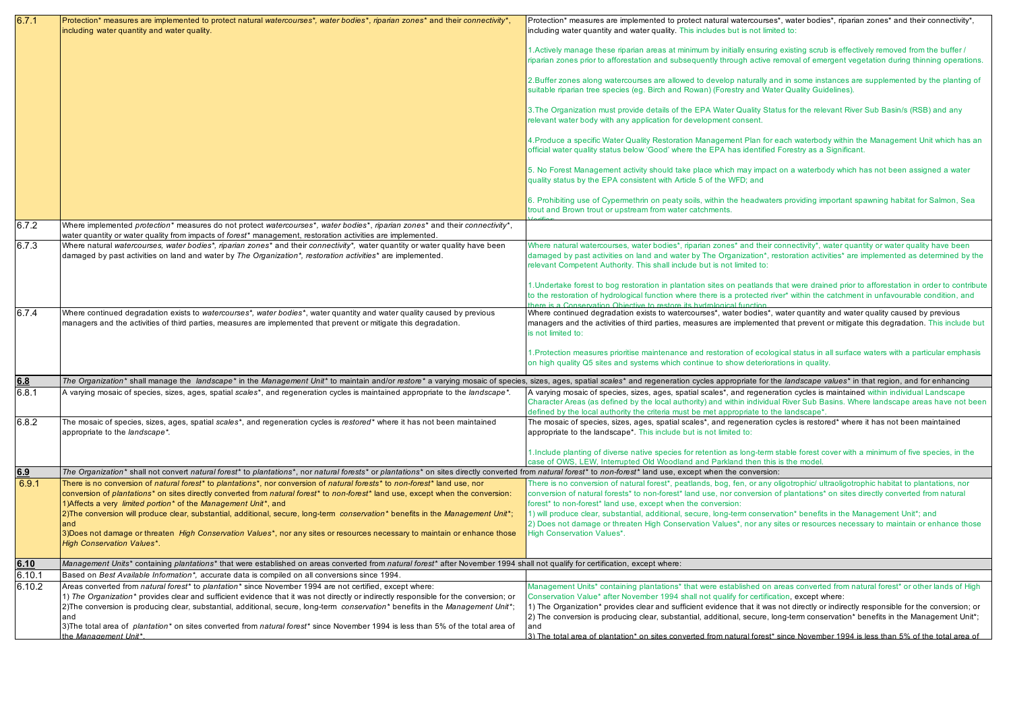| 6.7.1        | Protection* measures are implemented to protect natural watercourses*, water bodies*, riparian zones* and their connectivity*,<br>including water quantity and water quality.                                                                                  | Protection* measures are implemented to protect natural watercourses*, water bodies*, riparian zones* and their connectivity*,<br>including water quantity and water quality. This includes but is not limited to:                                                                                                                                       |
|--------------|----------------------------------------------------------------------------------------------------------------------------------------------------------------------------------------------------------------------------------------------------------------|----------------------------------------------------------------------------------------------------------------------------------------------------------------------------------------------------------------------------------------------------------------------------------------------------------------------------------------------------------|
|              |                                                                                                                                                                                                                                                                | 1. Actively manage these riparian areas at minimum by initially ensuring existing scrub is effectively removed from the buffer /<br>riparian zones prior to afforestation and subsequently through active removal of emergent vegetation during thinning operations.                                                                                     |
|              |                                                                                                                                                                                                                                                                | 2. Buffer zones along watercourses are allowed to develop naturally and in some instances are supplemented by the planting of<br>suitable riparian tree species (eg. Birch and Rowan) (Forestry and Water Quality Guidelines).                                                                                                                           |
|              |                                                                                                                                                                                                                                                                | 3. The Organization must provide details of the EPA Water Quality Status for the relevant River Sub Basin/s (RSB) and any<br>relevant water body with any application for development consent.                                                                                                                                                           |
|              |                                                                                                                                                                                                                                                                | 4. Produce a specific Water Quality Restoration Management Plan for each waterbody within the Management Unit which has an<br>official water quality status below 'Good' where the EPA has identified Forestry as a Significant.                                                                                                                         |
|              |                                                                                                                                                                                                                                                                | 5. No Forest Management activity should take place which may impact on a waterbody which has not been assigned a water<br>quality status by the EPA consistent with Article 5 of the WFD; and                                                                                                                                                            |
|              |                                                                                                                                                                                                                                                                | 6. Prohibiting use of Cypermethrin on peaty soils, within the headwaters providing important spawning habitat for Salmon, Sea<br>trout and Brown trout or upstream from water catchments.                                                                                                                                                                |
| 6.7.2        | Where implemented protection* measures do not protect watercourses*, water bodies*, riparian zones* and their connectivity*,<br>water quantity or water quality from impacts of forest* management, restoration activities are implemented.                    |                                                                                                                                                                                                                                                                                                                                                          |
| 6.7.3        | Where natural watercourses, water bodies*, riparian zones* and their connectivity*, water quantity or water quality have been<br>damaged by past activities on land and water by The Organization*, restoration activities* are implemented.                   | Where natural watercourses, water bodies*, riparian zones* and their connectivity*, water quantity or water quality have been<br>damaged by past activities on land and water by The Organization*, restoration activities* are implemented as determined by the<br>relevant Competent Authority. This shall include but is not limited to:              |
|              |                                                                                                                                                                                                                                                                | 1. Undertake forest to bog restoration in plantation sites on peatlands that were drained prior to afforestation in order to contribute<br>to the restoration of hydrological function where there is a protected river* within the catchment in unfavourable condition, and<br>here is a Conservation Objective to restore its hydrological function    |
| 6.7.4        | Where continued degradation exists to watercourses*, water bodies*, water quantity and water quality caused by previous<br>managers and the activities of third parties, measures are implemented that prevent or mitigate this degradation.                   | Where continued degradation exists to watercourses*, water bodies*, water quantity and water quality caused by previous<br>managers and the activities of third parties, measures are implemented that prevent or mitigate this degradation. This include but<br>is not limited to:                                                                      |
|              |                                                                                                                                                                                                                                                                | 1. Protection measures prioritise maintenance and restoration of ecological status in all surface waters with a particular emphasis<br>on high quality Q5 sites and systems which continue to show deteriorations in quality.                                                                                                                            |
| 6.8          | The Organization* shall manage the landscape* in the Management Unit* to maintain and/or restore* a varying mosaic of species, sizes, ages, spatial scales* and regeneration cycles appropriate for the landscape values* in t                                 |                                                                                                                                                                                                                                                                                                                                                          |
| 6.8.1        | A varying mosaic of species, sizes, ages, spatial scales*, and regeneration cycles is maintained appropriate to the landscape*.                                                                                                                                | A varying mosaic of species, sizes, ages, spatial scales*, and regeneration cycles is maintained within individual Landscape<br>Character Areas (as defined by the local authority) and within individual River Sub Basins. Where landscape areas have not been<br>defined by the local authority the criteria must be met appropriate to the landscape* |
| 6.8.2        | The mosaic of species, sizes, ages, spatial scales*, and regeneration cycles is restored* where it has not been maintained<br>appropriate to the landscape*.                                                                                                   | The mosaic of species, sizes, ages, spatial scales*, and regeneration cycles is restored* where it has not been maintained<br>appropriate to the landscape*. This include but is not limited to:                                                                                                                                                         |
|              | The Organization* shall not convert natural forest* to plantations*, nor natural forests* or plantations* on sites directly converted from natural forest* to non-forest* land use, except when the conversion:                                                | 1. Include planting of diverse native species for retention as long-term stable forest cover with a minimum of five species, in the<br>case of OWS. LEW, Interrupted Old Woodland and Parkland then this is the model.                                                                                                                                   |
| 6.9<br>6.9.1 |                                                                                                                                                                                                                                                                |                                                                                                                                                                                                                                                                                                                                                          |
|              | There is no conversion of natural forest* to plantations*, nor conversion of natural forests* to non-forest* land use, nor<br>conversion of plantations* on sites directly converted from natural forest* to non-forest* land use, except when the conversion: | There is no conversion of natural forest*, peatlands, bog, fen, or any oligotrophic/ ultraoligotrophic habitat to plantations, nor<br>conversion of natural forests* to non-forest* land use, nor conversion of plantations* on sites directly converted from natural                                                                                    |
|              | 1) Affects a very limited portion <sup>*</sup> of the Management Unit <sup>*</sup> , and                                                                                                                                                                       | forest* to non-forest* land use, except when the conversion:                                                                                                                                                                                                                                                                                             |
|              | 2) The conversion will produce clear, substantial, additional, secure, long-term conservation* benefits in the Management Unit*;                                                                                                                               | 1) will produce clear, substantial, additional, secure, long-term conservation* benefits in the Management Unit*; and                                                                                                                                                                                                                                    |
|              | and<br>3) Does not damage or threaten High Conservation Values*, nor any sites or resources necessary to maintain or enhance those                                                                                                                             | 2) Does not damage or threaten High Conservation Values*, nor any sites or resources necessary to maintain or enhance those<br><b>High Conservation Values*.</b>                                                                                                                                                                                         |
|              | <b>High Conservation Values*.</b>                                                                                                                                                                                                                              |                                                                                                                                                                                                                                                                                                                                                          |
| 6.10         | Management Units* containing plantations* that were established on areas converted from natural forest* after November 1994 shall not qualify for certification, except where:                                                                                 |                                                                                                                                                                                                                                                                                                                                                          |
| 6.10.1       | Based on Best Available Information*, accurate data is compiled on all conversions since 1994.                                                                                                                                                                 |                                                                                                                                                                                                                                                                                                                                                          |
| 6.10.2       | Areas converted from natural forest* to plantation* since November 1994 are not certified, except where:                                                                                                                                                       | Management Units* containing plantations* that were established on areas converted from natural forest* or other lands of High                                                                                                                                                                                                                           |
|              | 1) The Organization* provides clear and sufficient evidence that it was not directly or indirectly responsible for the conversion; or                                                                                                                          | Conservation Value* after November 1994 shall not qualify for certification, except where:                                                                                                                                                                                                                                                               |
|              | 2) The conversion is producing clear, substantial, additional, secure, long-term conservation* benefits in the Management Unit*;<br>and                                                                                                                        | 1) The Organization* provides clear and sufficient evidence that it was not directly or indirectly responsible for the conversion; or<br>2) The conversion is producing clear, substantial, additional, secure, long-term conservation* benefits in the Management Unit*;                                                                                |
|              | 3) The total area of plantation* on sites converted from natural forest* since November 1994 is less than 5% of the total area of                                                                                                                              | and                                                                                                                                                                                                                                                                                                                                                      |
|              | the Management Unit*.                                                                                                                                                                                                                                          | 3) The total area of plantation* on sites converted from natural forest* since November 1994 is less than 5% of the total area of                                                                                                                                                                                                                        |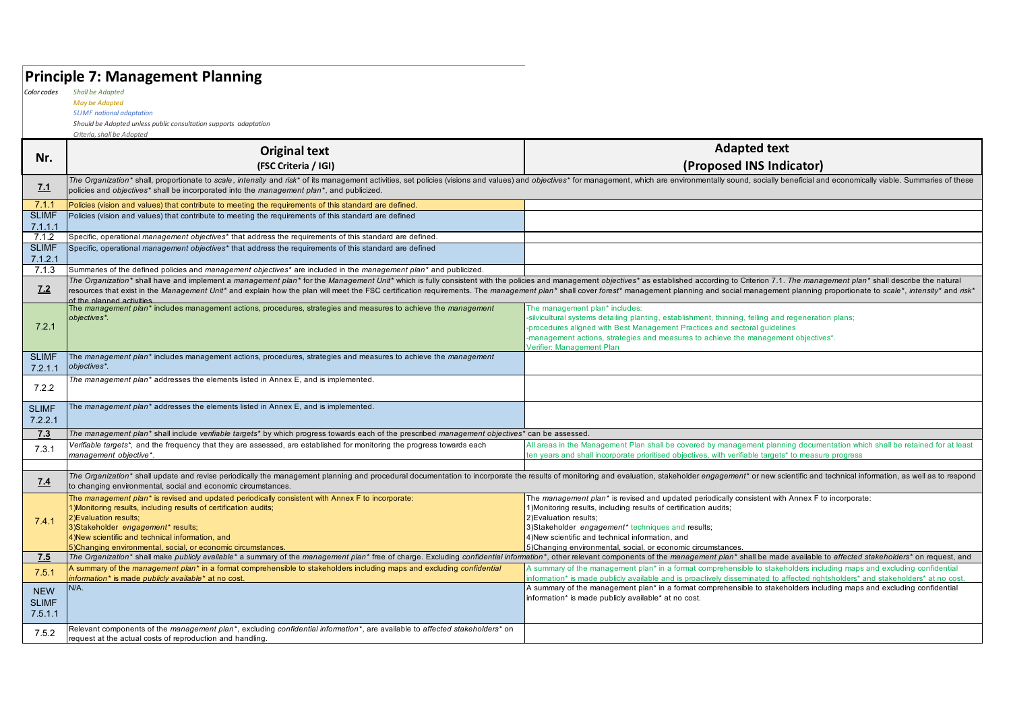### **Principle 7: Management Planning**

*Color codes Shall be Adapted*

#### *May be Adapted SLIMF national adaptation*

*Should be Adopted unless public consultation supports adaptation*

|                         | Criteria, shall be Adopted                                                                                                                                                                                                                                                                                                                                                                                                                                                                  |                                                                                                                                                                                                                                                                                                                                         |  |
|-------------------------|---------------------------------------------------------------------------------------------------------------------------------------------------------------------------------------------------------------------------------------------------------------------------------------------------------------------------------------------------------------------------------------------------------------------------------------------------------------------------------------------|-----------------------------------------------------------------------------------------------------------------------------------------------------------------------------------------------------------------------------------------------------------------------------------------------------------------------------------------|--|
| Nr.                     | <b>Original text</b>                                                                                                                                                                                                                                                                                                                                                                                                                                                                        | <b>Adapted text</b>                                                                                                                                                                                                                                                                                                                     |  |
|                         | (FSC Criteria / IGI)                                                                                                                                                                                                                                                                                                                                                                                                                                                                        | (Proposed INS Indicator)                                                                                                                                                                                                                                                                                                                |  |
| <u>7.1</u>              | The Organization* shall, proportionate to scale, intensity and risk* of its management activities, set policies (visions and values) and objectives* for management, which are environmentally sound, socially beneficial and<br>policies and objectives* shall be incorporated into the management plan*, and publicized.                                                                                                                                                                  |                                                                                                                                                                                                                                                                                                                                         |  |
| 7.1.1                   | Policies (vision and values) that contribute to meeting the requirements of this standard are defined.                                                                                                                                                                                                                                                                                                                                                                                      |                                                                                                                                                                                                                                                                                                                                         |  |
| <b>SLIMF</b>            | Policies (vision and values) that contribute to meeting the requirements of this standard are defined                                                                                                                                                                                                                                                                                                                                                                                       |                                                                                                                                                                                                                                                                                                                                         |  |
| 7.1.1.1                 |                                                                                                                                                                                                                                                                                                                                                                                                                                                                                             |                                                                                                                                                                                                                                                                                                                                         |  |
| 7.1.2                   | Specific, operational management objectives <sup>*</sup> that address the requirements of this standard are defined.                                                                                                                                                                                                                                                                                                                                                                        |                                                                                                                                                                                                                                                                                                                                         |  |
| <b>SLIMF</b><br>7.12.1  | Specific, operational management objectives* that address the requirements of this standard are defined                                                                                                                                                                                                                                                                                                                                                                                     |                                                                                                                                                                                                                                                                                                                                         |  |
| 7.1.3                   | Summaries of the defined policies and management objectives <sup>*</sup> are included in the management plan <sup>*</sup> and publicized.                                                                                                                                                                                                                                                                                                                                                   |                                                                                                                                                                                                                                                                                                                                         |  |
| 7.2                     | The Organization* shall have and implement a management plan* for the Management Unit* which is fully consistent with the policies and management objectives* as established according to Criterion 7.1. The management plan*<br>resources that exist in the Management Unit* and explain how the plan will meet the FSC certification requirements. The management plan* shall cover forest* management planning and social management planning proportionate<br>of the planned activities |                                                                                                                                                                                                                                                                                                                                         |  |
| 7.2.1                   | The management plan* includes management actions, procedures, strategies and measures to achieve the management<br>objectives*.                                                                                                                                                                                                                                                                                                                                                             | The management plan* includes:<br>-silvicultural systems detailing planting, establishment, thinning, felling and regeneration plans;<br>-procedures aligned with Best Management Practices and sectoral guidelines<br>-management actions, strategies and measures to achieve the management objectives*.<br>Verifier: Management Plan |  |
| <b>SLIMF</b><br>7.2.1.1 | The management plan* includes management actions, procedures, strategies and measures to achieve the management<br>objectives*.                                                                                                                                                                                                                                                                                                                                                             |                                                                                                                                                                                                                                                                                                                                         |  |
| 7.2.2                   | The management plan* addresses the elements listed in Annex E, and is implemented.                                                                                                                                                                                                                                                                                                                                                                                                          |                                                                                                                                                                                                                                                                                                                                         |  |
| <b>SLIMF</b><br>7.2.2.1 | The management plan* addresses the elements listed in Annex E, and is implemented.                                                                                                                                                                                                                                                                                                                                                                                                          |                                                                                                                                                                                                                                                                                                                                         |  |
| 7.3                     | The management plan* shall include verifiable targets* by which progress towards each of the prescribed management objectives* can be assessed.                                                                                                                                                                                                                                                                                                                                             |                                                                                                                                                                                                                                                                                                                                         |  |
| 7.3.1                   | Verifiable targets*, and the frequency that they are assessed, are established for monitoring the progress towards each<br>management objective*.                                                                                                                                                                                                                                                                                                                                           | All areas in the Management Plan shall be covered by management planning documentation which shall be retained for at least<br>ten years and shall incorporate prioritised objectives, with verifiable targets* to measure progress                                                                                                     |  |
|                         |                                                                                                                                                                                                                                                                                                                                                                                                                                                                                             |                                                                                                                                                                                                                                                                                                                                         |  |
| 7.4                     | The Organization* shall update and revise periodically the management planning and procedural documentation to incorporate the results of monitoring and evaluation, stakeholder engagement* or new scientific and technical i<br>to changing environmental, social and economic circumstances.                                                                                                                                                                                             |                                                                                                                                                                                                                                                                                                                                         |  |
|                         | The management plan* is revised and updated periodically consistent with Annex F to incorporate:                                                                                                                                                                                                                                                                                                                                                                                            | The management plan* is revised and updated periodically consistent with Annex F to incorporate:                                                                                                                                                                                                                                        |  |
|                         | 1) Monitoring results, including results of certification audits;                                                                                                                                                                                                                                                                                                                                                                                                                           | 1) Monitoring results, including results of certification audits;                                                                                                                                                                                                                                                                       |  |
| 7.4.1                   | 2) Evaluation results;<br>3) Stakeholder engagement* results;                                                                                                                                                                                                                                                                                                                                                                                                                               | 2) Evaluation results:<br>3) Stakeholder engagement* techniques and results;                                                                                                                                                                                                                                                            |  |
|                         | 4) New scientific and technical information, and                                                                                                                                                                                                                                                                                                                                                                                                                                            | 4) New scientific and technical information, and                                                                                                                                                                                                                                                                                        |  |
|                         | 5) Changing environmental, social, or economic circumstances.                                                                                                                                                                                                                                                                                                                                                                                                                               | 5)Changing environmental, social, or economic circumstances.                                                                                                                                                                                                                                                                            |  |
| 7.5                     | The Organization* shall make publicly available* a summary of the management plan* free of charge. Excluding confidential information*, other relevant components of the management plan* shall be made available to affected                                                                                                                                                                                                                                                               |                                                                                                                                                                                                                                                                                                                                         |  |
| 7.5.1                   | A summary of the management plan <sup>*</sup> in a format comprehensible to stakeholders including maps and excluding confidential<br>information* is made publicly available* at no cost.                                                                                                                                                                                                                                                                                                  | A summary of the management plan* in a format comprehensible to stakeholders including maps and excluding confidential<br>information* is made publicly available and is proactively disseminated to affected rightsholders* and stakeholders* at no cost.                                                                              |  |
| <b>NEW</b>              | N/A.                                                                                                                                                                                                                                                                                                                                                                                                                                                                                        | A summary of the management plan* in a format comprehensible to stakeholders including maps and excluding confidential                                                                                                                                                                                                                  |  |
| <b>SLIMF</b>            |                                                                                                                                                                                                                                                                                                                                                                                                                                                                                             | information* is made publicly available* at no cost.                                                                                                                                                                                                                                                                                    |  |
| 7.5.1.1                 |                                                                                                                                                                                                                                                                                                                                                                                                                                                                                             |                                                                                                                                                                                                                                                                                                                                         |  |
| 7.5.2                   | Relevant components of the management plan <sup>*</sup> , excluding confidential information <sup>*</sup> , are available to affected stakeholders <sup>*</sup> on<br>request at the actual costs of reproduction and handling.                                                                                                                                                                                                                                                             |                                                                                                                                                                                                                                                                                                                                         |  |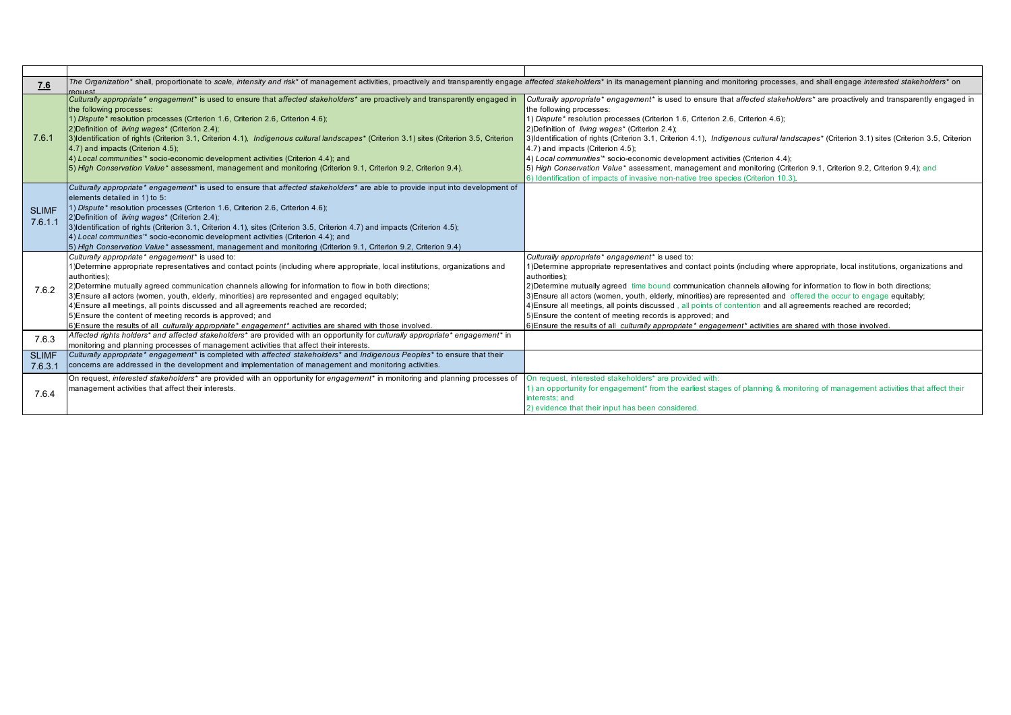| 7.6                     | The Organization* shall, proportionate to scale, intensity and risk* of management activities, proactively and transparently engage affected stakeholders* in its management planning and monitoring processes, and shall enga<br>request                                                                                                                                                                                                                                                                                                                                                                                                                                                             |                                                                                                                                                                                                                                                                                                                                                                                                                                                                                                                                                                                                                                                                                                                                                                                     |
|-------------------------|-------------------------------------------------------------------------------------------------------------------------------------------------------------------------------------------------------------------------------------------------------------------------------------------------------------------------------------------------------------------------------------------------------------------------------------------------------------------------------------------------------------------------------------------------------------------------------------------------------------------------------------------------------------------------------------------------------|-------------------------------------------------------------------------------------------------------------------------------------------------------------------------------------------------------------------------------------------------------------------------------------------------------------------------------------------------------------------------------------------------------------------------------------------------------------------------------------------------------------------------------------------------------------------------------------------------------------------------------------------------------------------------------------------------------------------------------------------------------------------------------------|
| 7.6.1                   | Culturally appropriate* engagement* is used to ensure that affected stakeholders* are proactively and transparently engaged in<br>the following processes:<br>1) Dispute* resolution processes (Criterion 1.6, Criterion 2.6, Criterion 4.6);<br>2) Definition of <i>living wages*</i> (Criterion 2.4);<br>3) Identification of rights (Criterion 3.1, Criterion 4.1), Indigenous cultural landscapes* (Criterion 3.1) sites (Criterion 3.5, Criterion<br>4.7) and impacts (Criterion 4.5);<br>4) Local communities'* socio-economic development activities (Criterion 4.4); and<br>[5] High Conservation Value* assessment, management and monitoring (Criterion 9.1, Criterion 9.2, Criterion 9.4). | Culturally appropriate* engagement* is used to ensure that affected stakeholders* are proactively and transparently engaged in<br>the following processes:<br>1) Dispute* resolution processes (Criterion 1.6, Criterion 2.6, Criterion 4.6);<br>2) Definition of living wages* (Criterion 2.4);<br>3) Identification of rights (Criterion 3.1, Criterion 4.1), Indigenous cultural landscapes* (Criterion 3.1) sites (Criterion 3.5, Criterion<br>4.7) and impacts (Criterion 4.5);<br>4) Local communities'* socio-economic development activities (Criterion 4.4);<br>5) High Conservation Value* assessment, management and monitoring (Criterion 9.1, Criterion 9.2, Criterion 9.4); and<br>6) Identification of impacts of invasive non-native tree species (Criterion 10.3). |
| <b>SLIMF</b><br>7.6.1.1 | Culturally appropriate* engagement* is used to ensure that affected stakeholders* are able to provide input into development of<br>elements detailed in 1) to 5:<br>1) Dispute* resolution processes (Criterion 1.6, Criterion 2.6, Criterion 4.6);<br>2) Definition of living wages* (Criterion 2.4);<br>3) Identification of rights (Criterion 3.1, Criterion 4.1), sites (Criterion 3.5, Criterion 4.7) and impacts (Criterion 4.5);<br>4) Local communities'* socio-economic development activities (Criterion 4.4); and<br>[5] High Conservation Value* assessment, management and monitoring (Criterion 9.1, Criterion 9.2, Criterion 9.4)                                                      |                                                                                                                                                                                                                                                                                                                                                                                                                                                                                                                                                                                                                                                                                                                                                                                     |
| 7.6.2                   | Culturally appropriate* engagement* is used to:<br>1) Determine appropriate representatives and contact points (including where appropriate, local institutions, organizations and<br>authorities):<br>[2] Determine mutually agreed communication channels allowing for information to flow in both directions;<br>3) Ensure all actors (women, youth, elderly, minorities) are represented and engaged equitably;<br>4) Ensure all meetings, all points discussed and all agreements reached are recorded;<br>5) Ensure the content of meeting records is approved; and<br>6) Ensure the results of all culturally appropriate* engagement* activities are shared with those involved.              | Culturally appropriate* engagement* is used to:<br>1) Determine appropriate representatives and contact points (including where appropriate, local institutions, organizations and<br>authorities):<br>2) Determine mutually agreed time bound communication channels allowing for information to flow in both directions;<br>3) Ensure all actors (women, youth, elderly, minorities) are represented and offered the occur to engage equitably;<br>4) Ensure all meetings, all points discussed, all points of contention and all agreements reached are recorded;<br>5) Ensure the content of meeting records is approved; and<br>6) Ensure the results of all culturally appropriate* engagement* activities are shared with those involved.                                    |
| 7.6.3                   | Affected rights holders* and affected stakeholders* are provided with an opportunity for culturally appropriate* engagement* in<br>monitoring and planning processes of management activities that affect their interests.                                                                                                                                                                                                                                                                                                                                                                                                                                                                            |                                                                                                                                                                                                                                                                                                                                                                                                                                                                                                                                                                                                                                                                                                                                                                                     |
| <b>SLIMF</b><br>7.6.3.1 | Culturally appropriate* engagement* is completed with affected stakeholders* and Indigenous Peoples* to ensure that their<br>concerns are addressed in the development and implementation of management and monitoring activities.                                                                                                                                                                                                                                                                                                                                                                                                                                                                    |                                                                                                                                                                                                                                                                                                                                                                                                                                                                                                                                                                                                                                                                                                                                                                                     |
| 7.6.4                   | On request, interested stakeholders <sup>*</sup> are provided with an opportunity for engagement <sup>*</sup> in monitoring and planning processes of<br>management activities that affect their interests.                                                                                                                                                                                                                                                                                                                                                                                                                                                                                           | On request, interested stakeholders* are provided with:<br>1) an opportunity for engagement* from the earliest stages of planning & monitoring of management activities that affect their<br>interests: and<br>2) evidence that their input has been considered.                                                                                                                                                                                                                                                                                                                                                                                                                                                                                                                    |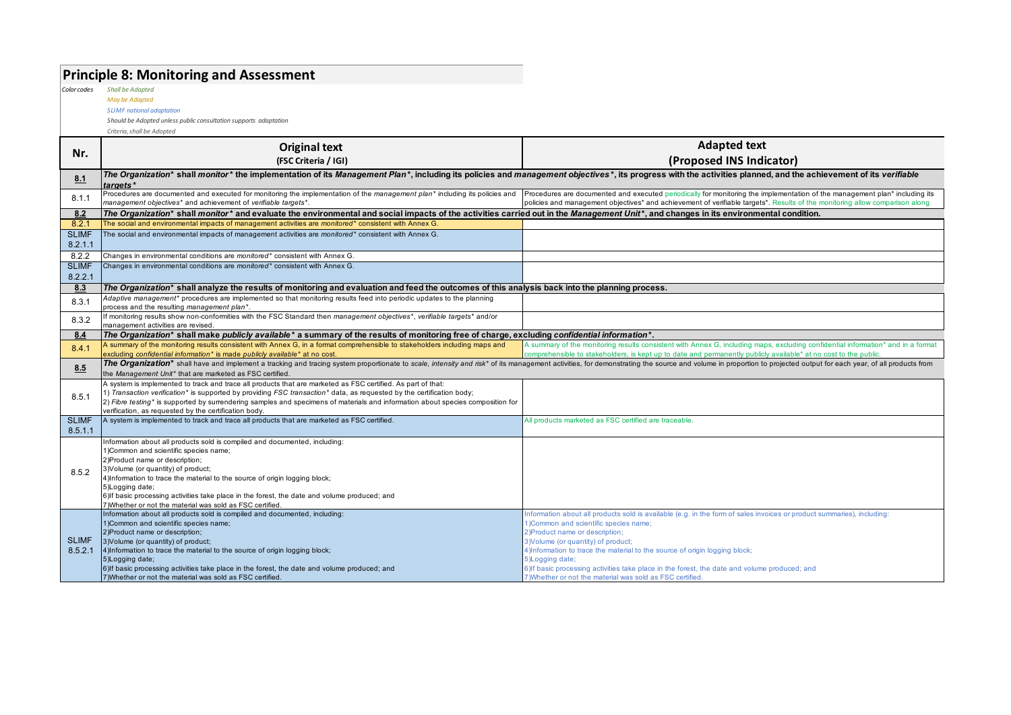### **Principle 8: Monitoring and Assessment**

*Color codes Shall be Adapted*

*May be Adapted SLIMF national adaptation*

*Should be Adopted unless public consultation supports adaptation*

|                         | <b>Original text</b>                                                                                                                                                                                                                                                                                                                                                                                                                                            | <b>Adapted text</b>                                                                                                                                                                                                                                                                                                                                                                                                                                                                                         |
|-------------------------|-----------------------------------------------------------------------------------------------------------------------------------------------------------------------------------------------------------------------------------------------------------------------------------------------------------------------------------------------------------------------------------------------------------------------------------------------------------------|-------------------------------------------------------------------------------------------------------------------------------------------------------------------------------------------------------------------------------------------------------------------------------------------------------------------------------------------------------------------------------------------------------------------------------------------------------------------------------------------------------------|
| Nr.                     | (FSC Criteria / IGI)                                                                                                                                                                                                                                                                                                                                                                                                                                            | (Proposed INS Indicator)                                                                                                                                                                                                                                                                                                                                                                                                                                                                                    |
| 8.1                     | The Organization* shall monitor* the implementation of its Management Plan*, including its policies and management objectives*, its progress with the activities planned, and the achievement of its verifiable<br>targets*                                                                                                                                                                                                                                     |                                                                                                                                                                                                                                                                                                                                                                                                                                                                                                             |
| 8.1.1                   | Procedures are documented and executed for monitoring the implementation of the management plan* including its policies and<br>management objectives* and achievement of verifiable targets*.                                                                                                                                                                                                                                                                   | Procedures are documented and executed periodically for monitoring the implementation of the management plan* including its<br>policies and management objectives <sup>*</sup> and achievement of verifiable targets <sup>*</sup> . Results of the monitoring allow comparison along                                                                                                                                                                                                                        |
| 8.2                     | The Organization* shall monitor* and evaluate the environmental and social impacts of the activities carried out in the Management Unit*, and changes in its environmental condition.                                                                                                                                                                                                                                                                           |                                                                                                                                                                                                                                                                                                                                                                                                                                                                                                             |
| 8.2.1                   | The social and environmental impacts of management activities are monitored* consistent with Annex G.                                                                                                                                                                                                                                                                                                                                                           |                                                                                                                                                                                                                                                                                                                                                                                                                                                                                                             |
| <b>SLIMF</b><br>8.2.1.1 | The social and environmental impacts of management activities are monitored* consistent with Annex G.                                                                                                                                                                                                                                                                                                                                                           |                                                                                                                                                                                                                                                                                                                                                                                                                                                                                                             |
| 8.2.2                   | Changes in environmental conditions are monitored* consistent with Annex G.                                                                                                                                                                                                                                                                                                                                                                                     |                                                                                                                                                                                                                                                                                                                                                                                                                                                                                                             |
| <b>SLIMF</b><br>8.2.2.1 | Changes in environmental conditions are monitored* consistent with Annex G.                                                                                                                                                                                                                                                                                                                                                                                     |                                                                                                                                                                                                                                                                                                                                                                                                                                                                                                             |
| 8.3                     | The Organization* shall analyze the results of monitoring and evaluation and feed the outcomes of this analysis back into the planning process.                                                                                                                                                                                                                                                                                                                 |                                                                                                                                                                                                                                                                                                                                                                                                                                                                                                             |
| 8.3.1                   | Adaptive management* procedures are implemented so that monitoring results feed into periodic updates to the planning<br>process and the resulting management plan*.                                                                                                                                                                                                                                                                                            |                                                                                                                                                                                                                                                                                                                                                                                                                                                                                                             |
| 8.3.2                   | If monitoring results show non-conformities with the FSC Standard then management objectives*, verifiable targets* and/or<br>management activities are revised                                                                                                                                                                                                                                                                                                  |                                                                                                                                                                                                                                                                                                                                                                                                                                                                                                             |
| 8.4                     | The Organization* shall make publicly available* a summary of the results of monitoring free of charge, excluding confidential information*.                                                                                                                                                                                                                                                                                                                    |                                                                                                                                                                                                                                                                                                                                                                                                                                                                                                             |
| 8.4.1                   | A summary of the monitoring results consistent with Annex G, in a format comprehensible to stakeholders including maps and<br>excluding confidential information* is made publicly available* at no cost.                                                                                                                                                                                                                                                       | A summary of the monitoring results consistent with Annex G, including maps, excluding confidential information* and in a format<br>comprehensible to stakeholders, is kept up to date and permanently publicly available* at no cost to the public                                                                                                                                                                                                                                                         |
| 8.5                     | The Organization* shall have and implement a tracking and tracing system proportionate to scale, intensity and risk* of its management activities, for demonstrating the source and volume in proportion to projected output f<br>the Management Unit* that are marketed as FSC certified.                                                                                                                                                                      |                                                                                                                                                                                                                                                                                                                                                                                                                                                                                                             |
| 8.5.1                   | A system is implemented to track and trace all products that are marketed as FSC certified. As part of that:<br>1) Transaction verification* is supported by providing FSC transaction* data, as requested by the certification body;<br>2) Fibre testing* is supported by surrendering samples and specimens of materials and information about species composition for<br>verification, as requested by the certification body.                               |                                                                                                                                                                                                                                                                                                                                                                                                                                                                                                             |
| <b>SLIMF</b><br>8.5.1.1 | A system is implemented to track and trace all products that are marketed as FSC certified.                                                                                                                                                                                                                                                                                                                                                                     | All products marketed as FSC certified are traceable.                                                                                                                                                                                                                                                                                                                                                                                                                                                       |
| 8.5.2                   | Information about all products sold is compiled and documented, including:<br>1) Common and scientific species name;<br>2) Product name or description;<br>3) Volume (or quantity) of product;<br>4)Information to trace the material to the source of origin logging block;<br>5)Logging date;<br>6) If basic processing activities take place in the forest, the date and volume produced; and<br>7) Whether or not the material was sold as FSC certified.   |                                                                                                                                                                                                                                                                                                                                                                                                                                                                                                             |
| <b>SLIMF</b><br>8.5.2.1 | Information about all products sold is compiled and documented, including:<br>1) Common and scientific species name;<br>2) Product name or description;<br>3) Volume (or quantity) of product;<br>4) Information to trace the material to the source of origin logging block;<br>5) Logging date;<br>6) If basic processing activities take place in the forest, the date and volume produced; and<br>7) Whether or not the material was sold as FSC certified. | Information about all products sold is available (e.g. in the form of sales invoices or product summaries), including:<br>1) Common and scientific species name:<br>2) Product name or description:<br>3) Volume (or quantity) of product;<br>4) Information to trace the material to the source of origin logging block;<br>5) Logging date;<br>6) If basic processing activities take place in the forest, the date and volume produced; and<br>7) Whether or not the material was sold as FSC certified. |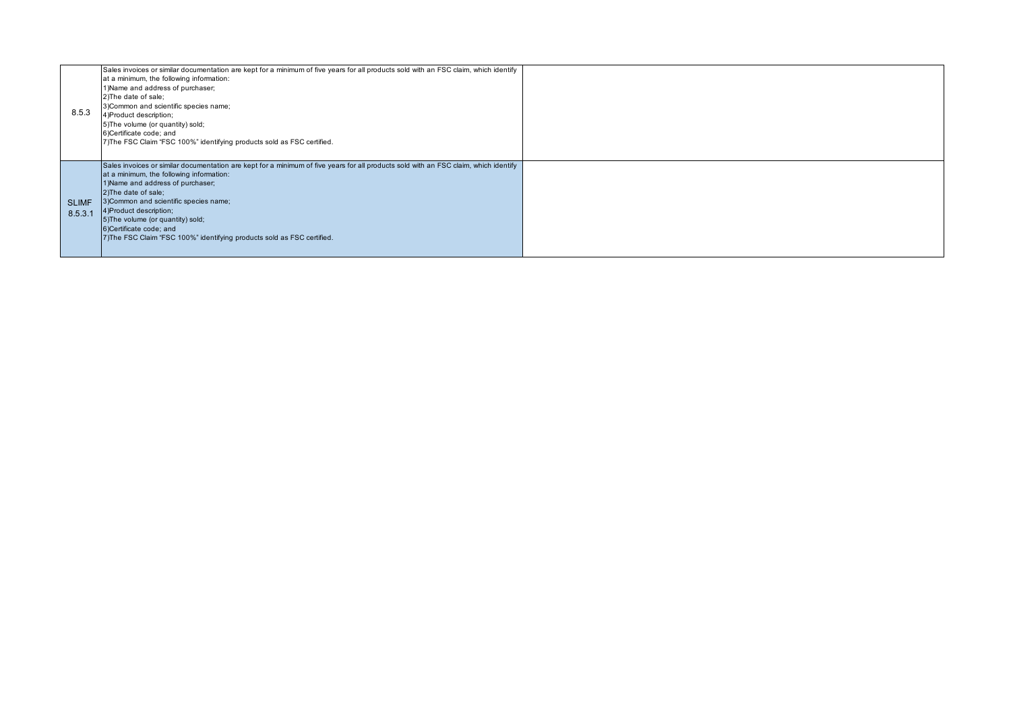| 8.5.3                   | Sales invoices or similar documentation are kept for a minimum of five years for all products sold with an FSC claim, which identify<br>at a minimum, the following information:<br>1) Name and address of purchaser;<br>2) The date of sale;<br>3) Common and scientific species name;<br>4) Product description;<br>5) The volume (or quantity) sold;<br>6)Certificate code; and<br>7) The FSC Claim "FSC 100%" identifying products sold as FSC certified. |  |
|-------------------------|---------------------------------------------------------------------------------------------------------------------------------------------------------------------------------------------------------------------------------------------------------------------------------------------------------------------------------------------------------------------------------------------------------------------------------------------------------------|--|
| <b>SLIMF</b><br>8.5.3.1 | Sales invoices or similar documentation are kept for a minimum of five years for all products sold with an FSC claim, which identify<br>at a minimum, the following information:<br>1) Name and address of purchaser;<br>2) The date of sale;<br>3) Common and scientific species name;<br>4) Product description;<br>5) The volume (or quantity) sold;<br>6)Certificate code; and<br>7) The FSC Claim "FSC 100%" identifying products sold as FSC certified. |  |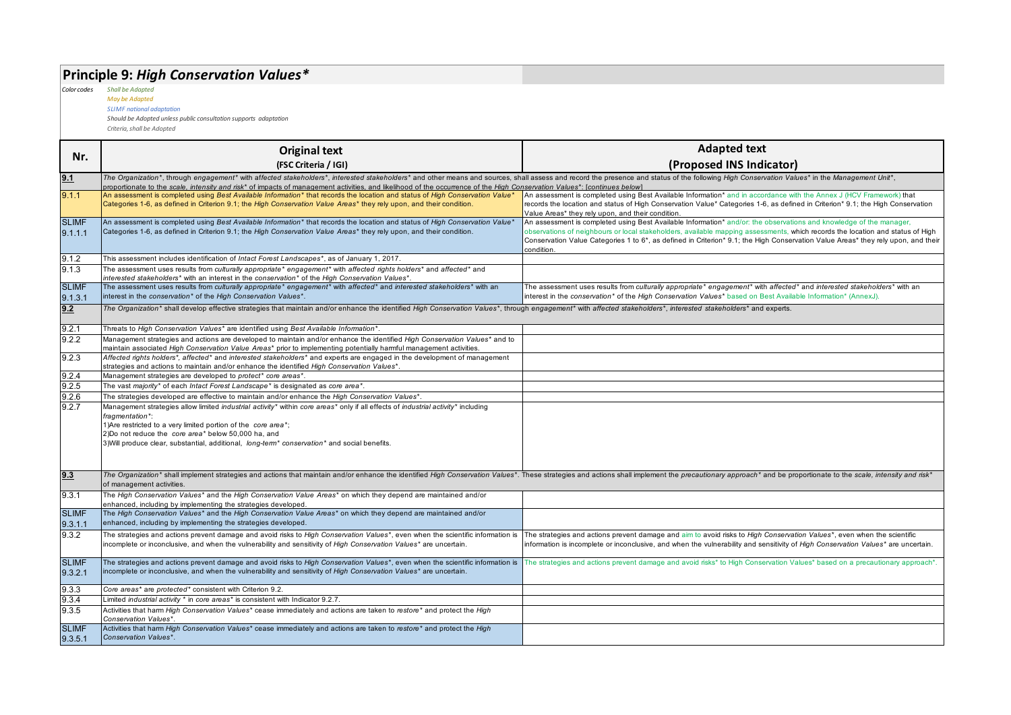# **Principle 9:** *High Conservation Values\**

*Color codes Shall be Adapted*

*May be Adapted SLIMF national adaptation*

*Should be Adopted unless public consultation supports adaptation*

|                         |                                                                                                                                                                                                                                                                                                                                                                                                             | <b>Adapted text</b>                                                                                                                                                                                                                                                               |  |
|-------------------------|-------------------------------------------------------------------------------------------------------------------------------------------------------------------------------------------------------------------------------------------------------------------------------------------------------------------------------------------------------------------------------------------------------------|-----------------------------------------------------------------------------------------------------------------------------------------------------------------------------------------------------------------------------------------------------------------------------------|--|
| Nr.                     | <b>Original text</b>                                                                                                                                                                                                                                                                                                                                                                                        |                                                                                                                                                                                                                                                                                   |  |
|                         | (FSC Criteria / IGI)                                                                                                                                                                                                                                                                                                                                                                                        | (Proposed INS Indicator)                                                                                                                                                                                                                                                          |  |
| 9.1                     | The Organization*, through engagement* with affected stakeholders*, interested stakeholders* and other means and sources, shall assess and record the presence and status of the following High Conservation Values* in the Ma<br>proportionate to the scale, intensity and risk* of impacts of management activities, and likelihood of the occurrence of the High Conservation Values*: [continues below] |                                                                                                                                                                                                                                                                                   |  |
| 9.1.1                   | An assessment is completed using Best Available Information* that records the location and status of High Conservation Value*                                                                                                                                                                                                                                                                               | An assessment is completed using Best Available Information* and in accordance with the Annex J (HCV Framework) that                                                                                                                                                              |  |
|                         | Categories 1-6, as defined in Criterion 9.1; the High Conservation Value Areas* they rely upon, and their condition.                                                                                                                                                                                                                                                                                        | records the location and status of High Conservation Value* Categories 1-6, as defined in Criterion* 9.1; the High Conservation<br>Value Areas* they rely upon, and their condition.                                                                                              |  |
| <b>SLIMF</b>            | An assessment is completed using Best Available Information* that records the location and status of High Conservation Value*                                                                                                                                                                                                                                                                               | An assessment is completed using Best Available Information* and/or: the observations and knowledge of the manager,                                                                                                                                                               |  |
| 9.1.1.1                 | Categories 1-6, as defined in Criterion 9.1; the High Conservation Value Areas* they rely upon, and their condition.                                                                                                                                                                                                                                                                                        | observations of neighbours or local stakeholders, available mapping assessments, which records the location and status of High<br>Conservation Value Categories 1 to 6*, as defined in Criterion* 9.1; the High Conservation Value Areas* they rely upon, and their<br>condition. |  |
| 9.1.2                   | This assessment includes identification of Intact Forest Landscapes*, as of January 1, 2017.                                                                                                                                                                                                                                                                                                                |                                                                                                                                                                                                                                                                                   |  |
| 9.1.3                   | The assessment uses results from culturally appropriate* engagement* with affected rights holders* and affected* and<br>interested stakeholders* with an interest in the conservation* of the High Conservation Values*.                                                                                                                                                                                    |                                                                                                                                                                                                                                                                                   |  |
| <b>SLIMF</b><br>9.1.3.1 | The assessment uses results from culturally appropriate* engagement* with affected* and interested stakeholders* with an<br>interest in the conservation* of the High Conservation Values*.                                                                                                                                                                                                                 | The assessment uses results from culturally appropriate* engagement* with affected* and interested stakeholders* with an<br>interest in the conservation* of the High Conservation Values* based on Best Available Information* (AnnexJ).                                         |  |
| 9.2                     | The Organization* shall develop effective strategies that maintain and/or enhance the identified High Conservation Values*, through engagement* with affected stakeholders*, interested stakeholders*, interested stakeholders                                                                                                                                                                              |                                                                                                                                                                                                                                                                                   |  |
| 9.2.1                   | Threats to High Conservation Values* are identified using Best Available Information*.                                                                                                                                                                                                                                                                                                                      |                                                                                                                                                                                                                                                                                   |  |
| 9.2.2                   | Management strategies and actions are developed to maintain and/or enhance the identified High Conservation Values* and to<br>maintain associated High Conservation Value Areas* prior to implementing potentially harmful management activities.                                                                                                                                                           |                                                                                                                                                                                                                                                                                   |  |
| 9.2.3                   | Affected rights holders*, affected* and interested stakeholders* and experts are engaged in the development of management                                                                                                                                                                                                                                                                                   |                                                                                                                                                                                                                                                                                   |  |
|                         | strategies and actions to maintain and/or enhance the identified High Conservation Values*.                                                                                                                                                                                                                                                                                                                 |                                                                                                                                                                                                                                                                                   |  |
| 9.2.4                   | Management strategies are developed to protect* core areas*.                                                                                                                                                                                                                                                                                                                                                |                                                                                                                                                                                                                                                                                   |  |
| 9.2.5                   | The vast majority* of each Intact Forest Landscape* is designated as core area*.                                                                                                                                                                                                                                                                                                                            |                                                                                                                                                                                                                                                                                   |  |
| 9.2.6                   | The strategies developed are effective to maintain and/or enhance the High Conservation Values*.                                                                                                                                                                                                                                                                                                            |                                                                                                                                                                                                                                                                                   |  |
| 9.2.7                   | Management strategies allow limited industrial activity* within core areas* only if all effects of industrial activity* including                                                                                                                                                                                                                                                                           |                                                                                                                                                                                                                                                                                   |  |
|                         | fragmentation*:<br>1) Are restricted to a very limited portion of the core area*;                                                                                                                                                                                                                                                                                                                           |                                                                                                                                                                                                                                                                                   |  |
|                         | 2)Do not reduce the core area* below 50,000 ha, and                                                                                                                                                                                                                                                                                                                                                         |                                                                                                                                                                                                                                                                                   |  |
|                         | 3) Will produce clear, substantial, additional, long-term <sup>*</sup> conservation <sup>*</sup> and social benefits.                                                                                                                                                                                                                                                                                       |                                                                                                                                                                                                                                                                                   |  |
|                         |                                                                                                                                                                                                                                                                                                                                                                                                             |                                                                                                                                                                                                                                                                                   |  |
| 9.3                     | The Organization* shall implement strategies and actions that maintain and/or enhance the identified High Conservation Values*. These strategies and actions shall implement the precautionary approach* and be proportionate                                                                                                                                                                               |                                                                                                                                                                                                                                                                                   |  |
|                         | of management activities.                                                                                                                                                                                                                                                                                                                                                                                   |                                                                                                                                                                                                                                                                                   |  |
| 9.3.1                   | The High Conservation Values* and the High Conservation Value Areas* on which they depend are maintained and/or<br>enhanced, including by implementing the strategies developed.                                                                                                                                                                                                                            |                                                                                                                                                                                                                                                                                   |  |
| <b>SLIMF</b>            | The High Conservation Values* and the High Conservation Value Areas* on which they depend are maintained and/or                                                                                                                                                                                                                                                                                             |                                                                                                                                                                                                                                                                                   |  |
| 9.3.1.1                 | enhanced, including by implementing the strategies developed.                                                                                                                                                                                                                                                                                                                                               |                                                                                                                                                                                                                                                                                   |  |
| 9.3.2                   | The strategies and actions prevent damage and avoid risks to High Conservation Values*, even when the scientific information is                                                                                                                                                                                                                                                                             | The strategies and actions prevent damage and aim to avoid risks to High Conservation Values*, even when the scientific                                                                                                                                                           |  |
|                         | incomplete or inconclusive, and when the vulnerability and sensitivity of High Conservation Values* are uncertain.                                                                                                                                                                                                                                                                                          | information is incomplete or inconclusive, and when the vulnerability and sensitivity of High Conservation Values* are uncertain.                                                                                                                                                 |  |
| <b>SLIMF</b>            | The strategies and actions prevent damage and avoid risks to High Conservation Values*, even when the scientific information is                                                                                                                                                                                                                                                                             | The strategies and actions prevent damage and avoid risks* to High Conservation Values* based on a precautionary approach*.                                                                                                                                                       |  |
| 9.3.2.1                 | incomplete or inconclusive, and when the vulnerability and sensitivity of High Conservation Values* are uncertain.                                                                                                                                                                                                                                                                                          |                                                                                                                                                                                                                                                                                   |  |
| 9.3.3                   | Core areas* are protected* consistent with Criterion 9.2.                                                                                                                                                                                                                                                                                                                                                   |                                                                                                                                                                                                                                                                                   |  |
| 9.3.4                   | Limited industrial activity * in core areas* is consistent with Indicator 9.2.7.                                                                                                                                                                                                                                                                                                                            |                                                                                                                                                                                                                                                                                   |  |
| 9.3.5                   | Activities that harm High Conservation Values* cease immediately and actions are taken to restore* and protect the High<br>Conservation Values*                                                                                                                                                                                                                                                             |                                                                                                                                                                                                                                                                                   |  |
| <b>SLIMF</b>            | Activities that harm High Conservation Values* cease immediately and actions are taken to restore* and protect the High                                                                                                                                                                                                                                                                                     |                                                                                                                                                                                                                                                                                   |  |
| 9.3.5.1                 | Conservation Values*.                                                                                                                                                                                                                                                                                                                                                                                       |                                                                                                                                                                                                                                                                                   |  |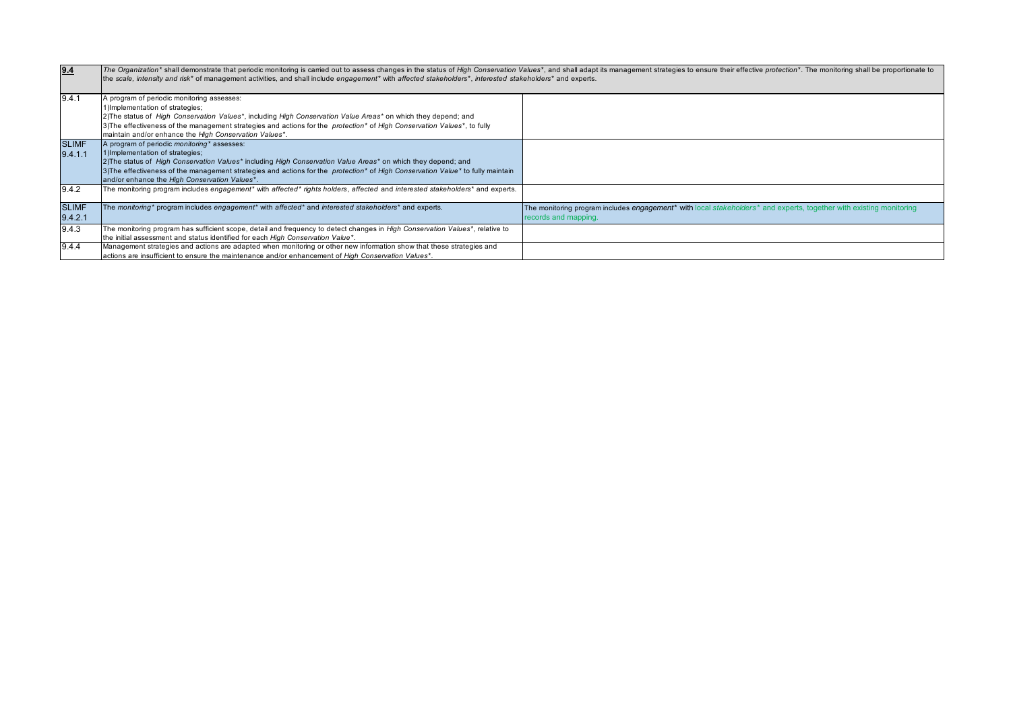| 9.4                     | The Organization* shall demonstrate that periodic monitoring is carried out to assess changes in the status of High Conservation Values*, and shall adapt its management strategies to ensure their effective protection*. The<br>the scale, intensity and risk* of management activities, and shall include engagement* with affected stakeholders*, interested stakeholders* and experts.                   |                                                                                                                                                                     |  |
|-------------------------|---------------------------------------------------------------------------------------------------------------------------------------------------------------------------------------------------------------------------------------------------------------------------------------------------------------------------------------------------------------------------------------------------------------|---------------------------------------------------------------------------------------------------------------------------------------------------------------------|--|
| 9.4.1                   | A program of periodic monitoring assesses:<br>1) Implementation of strategies;<br>2) The status of High Conservation Values*, including High Conservation Value Areas* on which they depend; and<br>3) The effectiveness of the management strategies and actions for the protection* of High Conservation Values*, to fully<br>maintain and/or enhance the High Conservation Values*.                        |                                                                                                                                                                     |  |
| <b>SLIMF</b><br>9.4.1.1 | A program of periodic <i>monitoring</i> * assesses:<br>1) Implementation of strategies;<br>[2] The status of High Conservation Values* including High Conservation Value Areas* on which they depend; and<br>3) The effectiveness of the management strategies and actions for the <i>protection</i> * of <i>High Conservation Value</i> * to fully maintain<br>and/or enhance the High Conservation Values*. |                                                                                                                                                                     |  |
| 9.4.2                   | The monitoring program includes engagement* with affected* rights holders, affected and interested stakeholders* and experts.                                                                                                                                                                                                                                                                                 |                                                                                                                                                                     |  |
| <b>SLIMF</b><br>9.4.2.1 | The monitoring* program includes engagement* with affected* and interested stakeholders* and experts.                                                                                                                                                                                                                                                                                                         | The monitoring program includes engagement <sup>*</sup> with local stakeholders <sup>*</sup> and experts, together with existing monitoring<br>records and mapping. |  |
| 9.4.3                   | The monitoring program has sufficient scope, detail and frequency to detect changes in High Conservation Values*, relative to<br>the initial assessment and status identified for each High Conservation Value*.                                                                                                                                                                                              |                                                                                                                                                                     |  |
| 9.4.4                   | Management strategies and actions are adapted when monitoring or other new information show that these strategies and<br>actions are insufficient to ensure the maintenance and/or enhancement of High Conservation Values*.                                                                                                                                                                                  |                                                                                                                                                                     |  |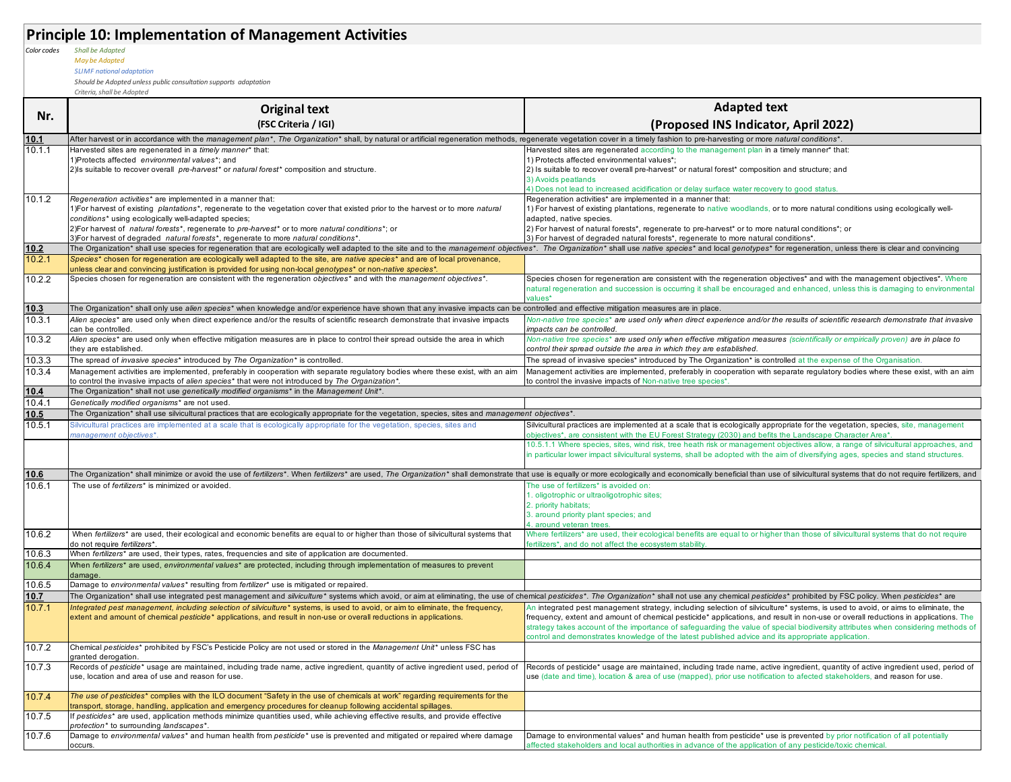|             | <b>Principle 10: Implementation of Management Activities</b>                                                                                                                                                                              |                                                                                                                                                                                                                                                                         |
|-------------|-------------------------------------------------------------------------------------------------------------------------------------------------------------------------------------------------------------------------------------------|-------------------------------------------------------------------------------------------------------------------------------------------------------------------------------------------------------------------------------------------------------------------------|
| Color codes | <b>Shall be Adapted</b>                                                                                                                                                                                                                   |                                                                                                                                                                                                                                                                         |
|             | May be Adapted                                                                                                                                                                                                                            |                                                                                                                                                                                                                                                                         |
|             | <b>SLIMF</b> national adaptation                                                                                                                                                                                                          |                                                                                                                                                                                                                                                                         |
|             | Should be Adopted unless public consultation supports adaptation                                                                                                                                                                          |                                                                                                                                                                                                                                                                         |
|             | Criteria, shall be Adopted                                                                                                                                                                                                                |                                                                                                                                                                                                                                                                         |
| Nr.         | <b>Original text</b>                                                                                                                                                                                                                      | <b>Adapted text</b>                                                                                                                                                                                                                                                     |
|             | (FSC Criteria / IGI)                                                                                                                                                                                                                      | (Proposed INS Indicator, April 2022)                                                                                                                                                                                                                                    |
| 10.1        | After harvest or in accordance with the management plan*, The Organization* shall, by natural or artificial regeneration methods, regenerate vegetation cover in a timely fashion to pre-harvesting or more natural conditions            |                                                                                                                                                                                                                                                                         |
| 10.1.1      | Harvested sites are regenerated in a timely manner* that:                                                                                                                                                                                 | Harvested sites are regenerated according to the management plan in a timely manner* that:                                                                                                                                                                              |
|             | 1) Protects affected environmental values*; and                                                                                                                                                                                           | 1) Protects affected environmental values*;                                                                                                                                                                                                                             |
|             | 2) Is suitable to recover overall pre-harvest* or natural forest* composition and structure.                                                                                                                                              | 2) Is suitable to recover overall pre-harvest* or natural forest* composition and structure; and<br>3) Avoids peatlands                                                                                                                                                 |
|             |                                                                                                                                                                                                                                           | 4) Does not lead to increased acidification or delay surface water recovery to good status.                                                                                                                                                                             |
| 10.1.2      | Regeneration activities* are implemented in a manner that:                                                                                                                                                                                | Regeneration activities* are implemented in a manner that:                                                                                                                                                                                                              |
|             | 1)For harvest of existing plantations <sup>*</sup> , regenerate to the vegetation cover that existed prior to the harvest or to more natural                                                                                              | 1) For harvest of existing plantations, regenerate to native woodlands, or to more natural conditions using ecologically well-                                                                                                                                          |
|             | conditions* using ecologically well-adapted species;                                                                                                                                                                                      | adapted, native species.                                                                                                                                                                                                                                                |
|             | 2)For harvest of <i>natural forests*</i> , regenerate to <i>pre-harvest*</i> or to more <i>natural conditions*</i> ; or<br>3) For harvest of degraded natural forests <sup>*</sup> , regenerate to more natural conditions <sup>*</sup> . | 2) For harvest of natural forests*, regenerate to pre-harvest* or to more natural conditions*; or<br>3) For harvest of degraded natural forests*, regenerate to more natural conditions*.                                                                               |
| 10.2        | The Organization* shall use species for regeneration that are ecologically well adapted to the site and to the management objectives*. The Organization* shall use native species* and local genotypes* for regeneration, unle            |                                                                                                                                                                                                                                                                         |
| 10.2.1      | Species* chosen for regeneration are ecologically well adapted to the site, are native species* and are of local provenance,                                                                                                              |                                                                                                                                                                                                                                                                         |
|             | unless clear and convincing justification is provided for using non-local genotypes* or non-native species*.                                                                                                                              |                                                                                                                                                                                                                                                                         |
| 10.2.2      | Species chosen for regeneration are consistent with the regeneration objectives* and with the management objectives*.                                                                                                                     | Species chosen for regeneration are consistent with the regeneration objectives* and with the management objectives*. Where                                                                                                                                             |
|             |                                                                                                                                                                                                                                           | natural regeneration and succession is occurring it shall be encouraged and enhanced, unless this is damaging to environmenta<br>values*                                                                                                                                |
| 10.3        | The Organization* shall only use alien species* when knowledge and/or experience have shown that any invasive impacts can be controlled and effective mitigation measures are in place.                                                   |                                                                                                                                                                                                                                                                         |
| 10.3.1      | Alien species* are used only when direct experience and/or the results of scientific research demonstrate that invasive impacts                                                                                                           | Non-native tree species* are used only when direct experience and/or the results of scientific research demonstrate that invasive                                                                                                                                       |
|             | can be controlled.                                                                                                                                                                                                                        | impacts can be controlled.                                                                                                                                                                                                                                              |
| 10.3.2      | Alien species* are used only when effective mitigation measures are in place to control their spread outside the area in which                                                                                                            | Non-native tree species* are used only when effective mitigation measures (scientifically or empirically proven) are in place to                                                                                                                                        |
| 10.3.3      | they are established.<br>The spread of invasive species* introduced by The Organization* is controlled.                                                                                                                                   | control their spread outside the area in which they are established.<br>The spread of invasive species* introduced by The Organization* is controlled at the expense of the Organisation.                                                                               |
| 10.3.4      | Management activities are implemented, preferably in cooperation with separate regulatory bodies where these exist, with an aim                                                                                                           | Management activities are implemented, preferably in cooperation with separate regulatory bodies where these exist, with an aim                                                                                                                                         |
|             | to control the invasive impacts of alien species* that were not introduced by The Organization*.                                                                                                                                          | to control the invasive impacts of Non-native tree species*.                                                                                                                                                                                                            |
| 10.4        | The Organization* shall not use genetically modified organisms* in the Management Unit*.                                                                                                                                                  |                                                                                                                                                                                                                                                                         |
| 10.4.1      | Genetically modified organisms* are not used.                                                                                                                                                                                             |                                                                                                                                                                                                                                                                         |
| 10.5        | The Organization* shall use silvicultural practices that are ecologically appropriate for the vegetation, species, sites and management objectives*.                                                                                      |                                                                                                                                                                                                                                                                         |
| 10.5.1      | Silvicultural practices are implemented at a scale that is ecologically appropriate for the vegetation, species, sites and<br>management objectives*.                                                                                     | Silvicultural practices are implemented at a scale that is ecologically appropriate for the vegetation, species, site, management<br>bbjectives*, are consistent with the EU Forest Strategy (2030) and befits the Landscape Character Area*.                           |
|             |                                                                                                                                                                                                                                           | 10.5.1.1 Where species, sites, wind risk, tree heath risk or management objectives allow, a range of silvicultural approaches, and                                                                                                                                      |
|             |                                                                                                                                                                                                                                           | in particular lower impact silvicultural systems, shall be adopted with the aim of diversifying ages, species and stand structures.                                                                                                                                     |
|             |                                                                                                                                                                                                                                           |                                                                                                                                                                                                                                                                         |
| 10.6        |                                                                                                                                                                                                                                           | The Organization* shall minimize or avoid the use of fertilizers*. When fertilizers* are used, The Organization* shall demonstrate that use is equally or more ecologically and economically beneficial than use of silvicultu                                          |
| 10.6.1      | The use of fertilizers* is minimized or avoided                                                                                                                                                                                           | The use of fertilizers* is avoided on:<br>1. oligotrophic or ultraoligotrophic sites;                                                                                                                                                                                   |
|             |                                                                                                                                                                                                                                           | 2. priority habitats;                                                                                                                                                                                                                                                   |
|             |                                                                                                                                                                                                                                           | 3. around priority plant species; and                                                                                                                                                                                                                                   |
|             |                                                                                                                                                                                                                                           | 4. around veteran trees.                                                                                                                                                                                                                                                |
| 10.6.2      | When fertilizers* are used, their ecological and economic benefits are equal to or higher than those of silvicultural systems that<br>do not require fertilizers*                                                                         | Where fertilizers* are used, their ecological benefits are equal to or higher than those of silvicultural systems that do not require<br>ertilizers*, and do not affect the ecosystem stability.                                                                        |
| 10.6.3      | When fertilizers* are used, their types, rates, frequencies and site of application are documented.                                                                                                                                       |                                                                                                                                                                                                                                                                         |
| 10.6.4      | When fertilizers* are used, environmental values* are protected, including through implementation of measures to prevent                                                                                                                  |                                                                                                                                                                                                                                                                         |
|             | damage.                                                                                                                                                                                                                                   |                                                                                                                                                                                                                                                                         |
| 10.6.5      | Damage to environmental values* resulting from fertilizer* use is mitigated or repaired.                                                                                                                                                  |                                                                                                                                                                                                                                                                         |
| 10.7        | The Organization* shall use integrated pest management and silviculture* systems which avoid, or aim at eliminating, the use of chemical pesticides*. The Organization* shall not use any chemical pesticides* prohibited by F            |                                                                                                                                                                                                                                                                         |
| 10.7.1      | Integrated pest management, including selection of silviculture* systems, is used to avoid, or aim to eliminate, the frequency,                                                                                                           | An integrated pest management strategy, including selection of silviculture* systems, is used to avoid, or aims to eliminate, the<br>frequency, extent and amount of chemical pesticide* applications, and result in non-use or overall reductions in applications. The |
|             | extent and amount of chemical pesticide* applications, and result in non-use or overall reductions in applications.                                                                                                                       | strategy takes account of the importance of safeguarding the value of special biodiversity attributes when considering methods of                                                                                                                                       |
|             |                                                                                                                                                                                                                                           | control and demonstrates knowledge of the latest published advice and its appropriate application.                                                                                                                                                                      |
| 10.7.2      | Chemical pesticides* prohibited by FSC's Pesticide Policy are not used or stored in the Management Unit* unless FSC has                                                                                                                   |                                                                                                                                                                                                                                                                         |
|             | granted derogation.                                                                                                                                                                                                                       |                                                                                                                                                                                                                                                                         |
| 10.7.3      | Records of pesticide* usage are maintained, including trade name, active ingredient, quantity of active ingredient used, period of<br>use, location and area of use and reason for use.                                                   | Records of pesticide* usage are maintained, including trade name, active ingredient, quantity of active ingredient used, period of                                                                                                                                      |
|             |                                                                                                                                                                                                                                           | use (date and time), location & area of use (mapped), prior use notification to afected stakeholders, and reason for use.                                                                                                                                               |
| 10.7.4      | The use of pesticides* complies with the ILO document "Safety in the use of chemicals at work" regarding requirements for the                                                                                                             |                                                                                                                                                                                                                                                                         |
|             | transport, storage, handling, application and emergency procedures for cleanup following accidental spillages.                                                                                                                            |                                                                                                                                                                                                                                                                         |
| 10.7.5      | If pesticides* are used, application methods minimize quantities used, while achieving effective results, and provide effective                                                                                                           |                                                                                                                                                                                                                                                                         |
| 10.7.6      | protection* to surrounding landscapes*.<br>Damage to environmental values* and human health from pesticide* use is prevented and mitigated or repaired where damage                                                                       | Damage to environmental values* and human health from pesticide* use is prevented by prior notification of all potentially                                                                                                                                              |
|             | occurs.                                                                                                                                                                                                                                   | affected stakeholders and local authorities in advance of the application of any pesticide/toxic chemical.                                                                                                                                                              |